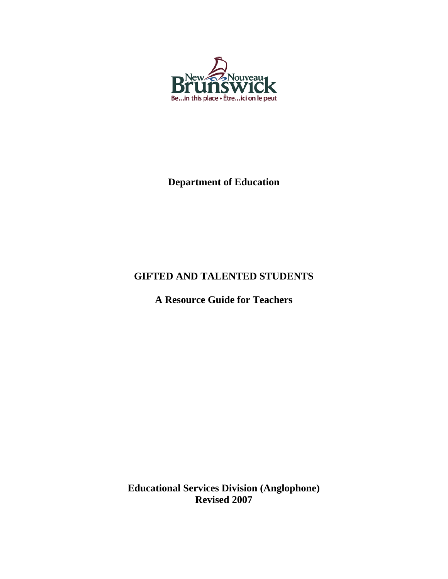

# **Department of Education**

# **GIFTED AND TALENTED STUDENTS**

**A Resource Guide for Teachers** 

**Educational Services Division (Anglophone) Revised 2007**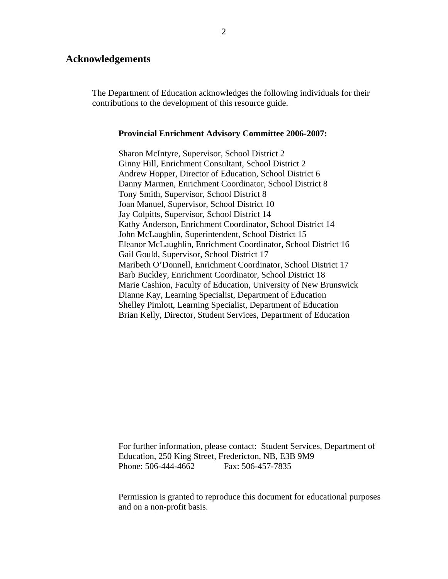#### **Acknowledgements**

The Department of Education acknowledges the following individuals for their contributions to the development of this resource guide.

#### **Provincial Enrichment Advisory Committee 2006-2007:**

Sharon McIntyre, Supervisor, School District 2 Ginny Hill, Enrichment Consultant, School District 2 Andrew Hopper, Director of Education, School District 6 Danny Marmen, Enrichment Coordinator, School District 8 Tony Smith, Supervisor, School District 8 Joan Manuel, Supervisor, School District 10 Jay Colpitts, Supervisor, School District 14 Kathy Anderson, Enrichment Coordinator, School District 14 John McLaughlin, Superintendent, School District 15 Eleanor McLaughlin, Enrichment Coordinator, School District 16 Gail Gould, Supervisor, School District 17 Maribeth O'Donnell, Enrichment Coordinator, School District 17 Barb Buckley, Enrichment Coordinator, School District 18 Marie Cashion, Faculty of Education, University of New Brunswick Dianne Kay, Learning Specialist, Department of Education Shelley Pimlott, Learning Specialist, Department of Education Brian Kelly, Director, Student Services, Department of Education

For further information, please contact: Student Services, Department of Education, 250 King Street, Fredericton, NB, E3B 9M9 Phone: 506-444-4662 Fax: 506-457-7835

Permission is granted to reproduce this document for educational purposes and on a non-profit basis.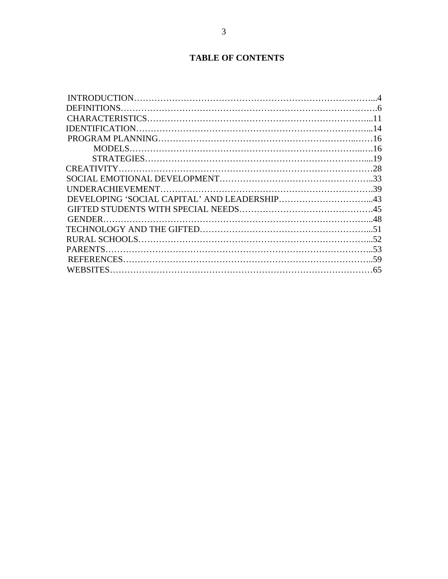# **TABLE OF CONTENTS**

| <b>PARENTS</b>  |  |
|-----------------|--|
|                 |  |
| <b>WEBSITES</b> |  |
|                 |  |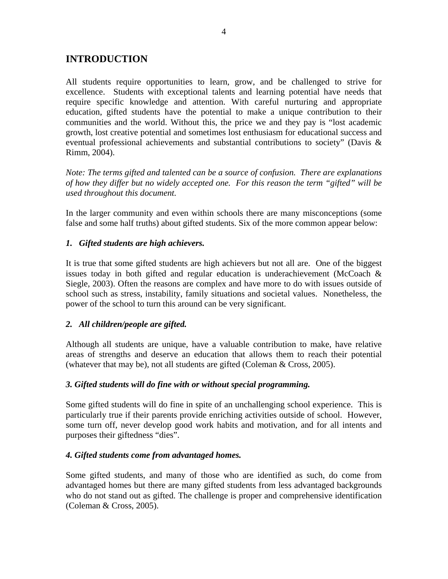# **INTRODUCTION**

All students require opportunities to learn, grow, and be challenged to strive for excellence. Students with exceptional talents and learning potential have needs that require specific knowledge and attention. With careful nurturing and appropriate education, gifted students have the potential to make a unique contribution to their communities and the world. Without this, the price we and they pay is "lost academic growth, lost creative potential and sometimes lost enthusiasm for educational success and eventual professional achievements and substantial contributions to society" (Davis & Rimm, 2004).

*Note: The terms gifted and talented can be a source of confusion. There are explanations of how they differ but no widely accepted one. For this reason the term "gifted" will be used throughout this document.* 

In the larger community and even within schools there are many misconceptions (some false and some half truths) about gifted students. Six of the more common appear below:

## *1. Gifted students are high achievers.*

It is true that some gifted students are high achievers but not all are. One of the biggest issues today in both gifted and regular education is underachievement (McCoach & Siegle, 2003). Often the reasons are complex and have more to do with issues outside of school such as stress, instability, family situations and societal values. Nonetheless, the power of the school to turn this around can be very significant.

## *2. All children/people are gifted.*

Although all students are unique, have a valuable contribution to make, have relative areas of strengths and deserve an education that allows them to reach their potential (whatever that may be), not all students are gifted (Coleman & Cross, 2005).

## *3. Gifted students will do fine with or without special programming.*

Some gifted students will do fine in spite of an unchallenging school experience. This is particularly true if their parents provide enriching activities outside of school. However, some turn off, never develop good work habits and motivation, and for all intents and purposes their giftedness "dies".

## *4. Gifted students come from advantaged homes.*

Some gifted students, and many of those who are identified as such, do come from advantaged homes but there are many gifted students from less advantaged backgrounds who do not stand out as gifted. The challenge is proper and comprehensive identification (Coleman & Cross, 2005).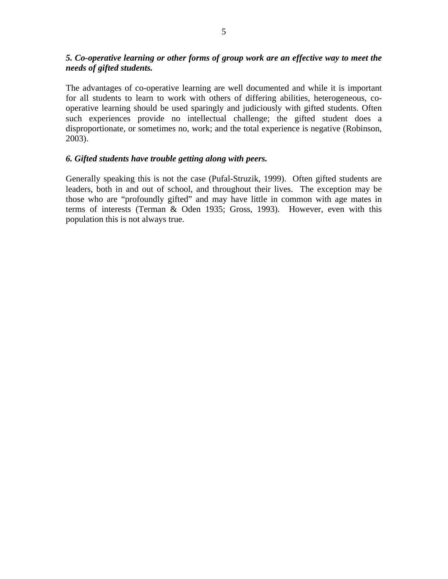## *5. Co-operative learning or other forms of group work are an effective way to meet the needs of gifted students.*

The advantages of co-operative learning are well documented and while it is important for all students to learn to work with others of differing abilities, heterogeneous, cooperative learning should be used sparingly and judiciously with gifted students. Often such experiences provide no intellectual challenge; the gifted student does a disproportionate, or sometimes no, work; and the total experience is negative (Robinson, 2003).

## *6. Gifted students have trouble getting along with peers.*

Generally speaking this is not the case (Pufal-Struzik, 1999). Often gifted students are leaders, both in and out of school, and throughout their lives. The exception may be those who are "profoundly gifted" and may have little in common with age mates in terms of interests (Terman & Oden 1935; Gross, 1993). However, even with this population this is not always true.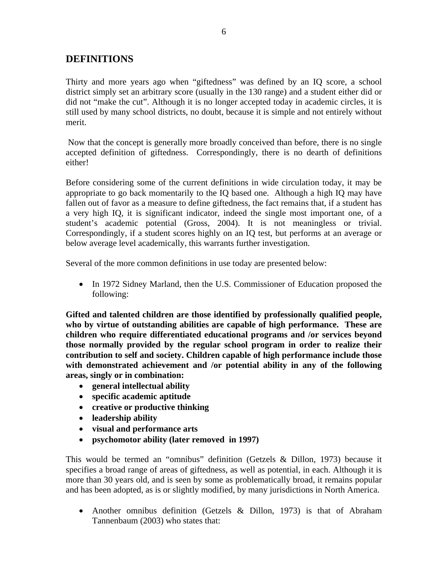# **DEFINITIONS**

Thirty and more years ago when "giftedness" was defined by an IQ score, a school district simply set an arbitrary score (usually in the 130 range) and a student either did or did not "make the cut". Although it is no longer accepted today in academic circles, it is still used by many school districts, no doubt, because it is simple and not entirely without merit.

 Now that the concept is generally more broadly conceived than before, there is no single accepted definition of giftedness. Correspondingly, there is no dearth of definitions either!

Before considering some of the current definitions in wide circulation today, it may be appropriate to go back momentarily to the IQ based one. Although a high IQ may have fallen out of favor as a measure to define giftedness, the fact remains that, if a student has a very high IQ, it is significant indicator, indeed the single most important one, of a student's academic potential (Gross, 2004). It is not meaningless or trivial. Correspondingly, if a student scores highly on an IQ test, but performs at an average or below average level academically, this warrants further investigation.

Several of the more common definitions in use today are presented below:

• In 1972 Sidney Marland, then the U.S. Commissioner of Education proposed the following:

**Gifted and talented children are those identified by professionally qualified people, who by virtue of outstanding abilities are capable of high performance. These are children who require differentiated educational programs and /or services beyond those normally provided by the regular school program in order to realize their contribution to self and society. Children capable of high performance include those with demonstrated achievement and /or potential ability in any of the following areas, singly or in combination:** 

- **general intellectual ability**
- **specific academic aptitude**
- **creative or productive thinking**
- **leadership ability**
- **visual and performance arts**
- **psychomotor ability (later removed in 1997)**

This would be termed an "omnibus" definition (Getzels & Dillon, 1973) because it specifies a broad range of areas of giftedness, as well as potential, in each. Although it is more than 30 years old, and is seen by some as problematically broad, it remains popular and has been adopted, as is or slightly modified, by many jurisdictions in North America.

• Another omnibus definition (Getzels & Dillon, 1973) is that of Abraham Tannenbaum (2003) who states that: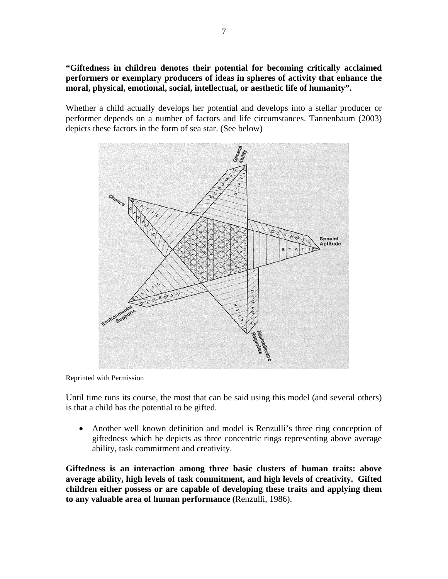**"Giftedness in children denotes their potential for becoming critically acclaimed performers or exemplary producers of ideas in spheres of activity that enhance the moral, physical, emotional, social, intellectual, or aesthetic life of humanity".** 

Whether a child actually develops her potential and develops into a stellar producer or performer depends on a number of factors and life circumstances. Tannenbaum (2003) depicts these factors in the form of sea star. (See below)



Reprinted with Permission

Until time runs its course, the most that can be said using this model (and several others) is that a child has the potential to be gifted.

• Another well known definition and model is Renzulli's three ring conception of giftedness which he depicts as three concentric rings representing above average ability, task commitment and creativity.

**Giftedness is an interaction among three basic clusters of human traits: above average ability, high levels of task commitment, and high levels of creativity. Gifted children either possess or are capable of developing these traits and applying them to any valuable area of human performance (**Renzulli, 1986).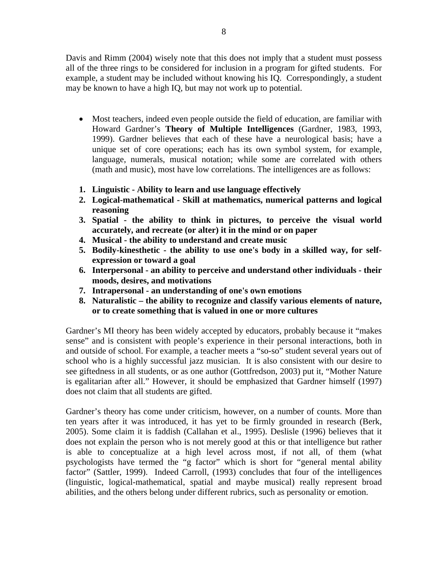Davis and Rimm (2004) wisely note that this does not imply that a student must possess all of the three rings to be considered for inclusion in a program for gifted students. For example, a student may be included without knowing his IQ. Correspondingly, a student may be known to have a high IQ, but may not work up to potential.

- Most teachers, indeed even people outside the field of education, are familiar with Howard Gardner's **Theory of Multiple Intelligences** (Gardner, 1983, 1993, 1999). Gardner believes that each of these have a neurological basis; have a unique set of core operations; each has its own symbol system, for example, language, numerals, musical notation; while some are correlated with others (math and music), most have low correlations. The intelligences are as follows:
- **1. Linguistic Ability to learn and use language effectively**
- **2. Logical-mathematical Skill at mathematics, numerical patterns and logical reasoning**
- **3. Spatial the ability to think in pictures, to perceive the visual world accurately, and recreate (or alter) it in the mind or on paper**
- **4. Musical the ability to understand and create music**
- **5. Bodily-kinesthetic the ability to use one's body in a skilled way, for selfexpression or toward a goal**
- **6. Interpersonal an ability to perceive and understand other individuals their moods, desires, and motivations**
- **7. Intrapersonal an understanding of one's own emotions**
- **8. Naturalistic the ability to recognize and classify various elements of nature, or to create something that is valued in one or more cultures**

Gardner's MI theory has been widely accepted by educators, probably because it "makes sense" and is consistent with people's experience in their personal interactions, both in and outside of school. For example, a teacher meets a "so-so" student several years out of school who is a highly successful jazz musician. It is also consistent with our desire to see giftedness in all students, or as one author (Gottfredson, 2003) put it, "Mother Nature is egalitarian after all." However, it should be emphasized that Gardner himself (1997) does not claim that all students are gifted.

Gardner's theory has come under criticism, however, on a number of counts. More than ten years after it was introduced, it has yet to be firmly grounded in research (Berk, 2005). Some claim it is faddish (Callahan et al., 1995). Deslisle (1996) believes that it does not explain the person who is not merely good at this or that intelligence but rather is able to conceptualize at a high level across most, if not all, of them (what psychologists have termed the "g factor" which is short for "general mental ability factor" (Sattler, 1999). Indeed Carroll, (1993) concludes that four of the intelligences (linguistic, logical-mathematical, spatial and maybe musical) really represent broad abilities, and the others belong under different rubrics, such as personality or emotion.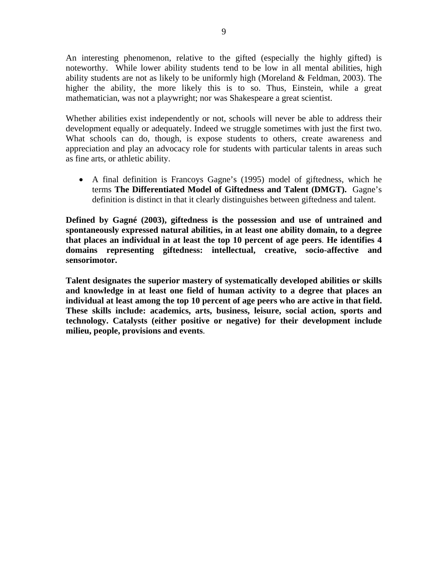An interesting phenomenon, relative to the gifted (especially the highly gifted) is noteworthy. While lower ability students tend to be low in all mental abilities, high ability students are not as likely to be uniformly high (Moreland & Feldman, 2003). The higher the ability, the more likely this is to so. Thus, Einstein, while a great mathematician, was not a playwright; nor was Shakespeare a great scientist.

Whether abilities exist independently or not, schools will never be able to address their development equally or adequately. Indeed we struggle sometimes with just the first two. What schools can do, though, is expose students to others, create awareness and appreciation and play an advocacy role for students with particular talents in areas such as fine arts, or athletic ability.

• A final definition is Francoys Gagne's (1995) model of giftedness, which he terms **The Differentiated Model of Giftedness and Talent (DMGT).** Gagne's definition is distinct in that it clearly distinguishes between giftedness and talent.

**Defined by Gagné (2003), giftedness is the possession and use of untrained and spontaneously expressed natural abilities, in at least one ability domain, to a degree that places an individual in at least the top 10 percent of age peers**. **He identifies 4 domains representing giftedness: intellectual, creative, socio-affective and sensorimotor.** 

**Talent designates the superior mastery of systematically developed abilities or skills and knowledge in at least one field of human activity to a degree that places an individual at least among the top 10 percent of age peers who are active in that field. These skills include: academics, arts, business, leisure, social action, sports and technology. Catalysts (either positive or negative) for their development include milieu, people, provisions and events**.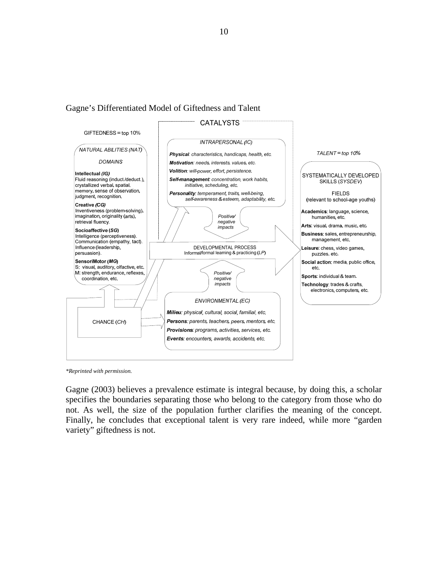Gagne's Differentiated Model of Giftedness and Talent



*\*Reprinted with permission.*

Gagne (2003) believes a prevalence estimate is integral because, by doing this, a scholar specifies the boundaries separating those who belong to the category from those who do not. As well, the size of the population further clarifies the meaning of the concept. Finally, he concludes that exceptional talent is very rare indeed, while more "garden variety" giftedness is not.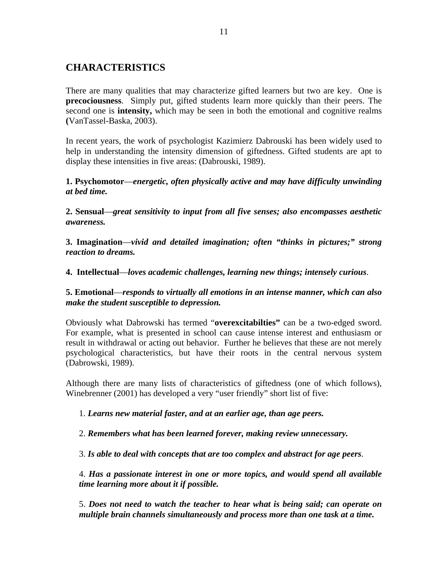# **CHARACTERISTICS**

There are many qualities that may characterize gifted learners but two are key. One is **precociousness**. Simply put, gifted students learn more quickly than their peers. The second one is **intensity,** which may be seen in both the emotional and cognitive realms **(**VanTassel-Baska, 2003).

In recent years, the work of psychologist Kazimierz Dabrouski has been widely used to help in understanding the intensity dimension of giftedness. Gifted students are apt to display these intensities in five areas: (Dabrouski, 1989).

**1. Psychomotor**—*energetic, often physically active and may have difficulty unwinding at bed time.* 

**2. Sensual**—*great sensitivity to input from all five senses; also encompasses aesthetic awareness.* 

**3. Imagination**—*vivid and detailed imagination; often "thinks in pictures;" strong reaction to dreams.* 

**4. Intellectual**—*loves academic challenges, learning new things; intensely curious*.

**5. Emotional**—*responds to virtually all emotions in an intense manner, which can also make the student susceptible to depression.* 

Obviously what Dabrowski has termed "**overexcitabilties"** can be a two-edged sword. For example, what is presented in school can cause intense interest and enthusiasm or result in withdrawal or acting out behavior. Further he believes that these are not merely psychological characteristics, but have their roots in the central nervous system (Dabrowski, 1989).

Although there are many lists of characteristics of giftedness (one of which follows), Winebrenner (2001) has developed a very "user friendly" short list of five:

1. *Learns new material faster, and at an earlier age, than age peers.* 

2. *Remembers what has been learned forever, making review unnecessary.* 

3. *Is able to deal with concepts that are too complex and abstract for age peers*.

4. *Has a passionate interest in one or more topics, and would spend all available time learning more about it if possible.*

5. *Does not need to watch the teacher to hear what is being said; can operate on multiple brain channels simultaneously and process more than one task at a time.*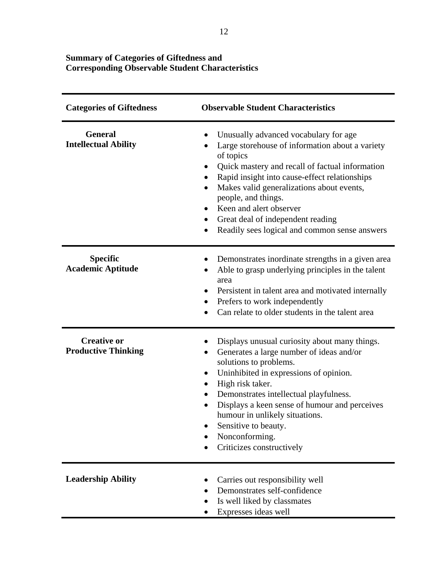### **Summary of Categories of Giftedness and Corresponding Observable Student Characteristics**

| <b>Categories of Giftedness</b>                  | <b>Observable Student Characteristics</b>                                                                                                                                                                                                                                                                                                                                                                                                                    |
|--------------------------------------------------|--------------------------------------------------------------------------------------------------------------------------------------------------------------------------------------------------------------------------------------------------------------------------------------------------------------------------------------------------------------------------------------------------------------------------------------------------------------|
| <b>General</b><br><b>Intellectual Ability</b>    | Unusually advanced vocabulary for age<br>Large storehouse of information about a variety<br>$\bullet$<br>of topics<br>Quick mastery and recall of factual information<br>$\bullet$<br>Rapid insight into cause-effect relationships<br>٠<br>Makes valid generalizations about events,<br>$\bullet$<br>people, and things.<br>Keen and alert observer<br>Great deal of independent reading<br>٠<br>Readily sees logical and common sense answers<br>$\bullet$ |
| <b>Specific</b><br><b>Academic Aptitude</b>      | Demonstrates inordinate strengths in a given area<br>Able to grasp underlying principles in the talent<br>area<br>Persistent in talent area and motivated internally<br>٠<br>Prefers to work independently<br>$\bullet$<br>Can relate to older students in the talent area<br>$\bullet$                                                                                                                                                                      |
| <b>Creative or</b><br><b>Productive Thinking</b> | Displays unusual curiosity about many things.<br>Generates a large number of ideas and/or<br>solutions to problems.<br>Uninhibited in expressions of opinion.<br>$\bullet$<br>High risk taker.<br>$\bullet$<br>Demonstrates intellectual playfulness.<br>Displays a keen sense of humour and perceives<br>$\bullet$<br>humour in unlikely situations.<br>Sensitive to beauty.<br>Nonconforming.<br>Criticizes constructively                                 |
| <b>Leadership Ability</b>                        | Carries out responsibility well<br>Demonstrates self-confidence<br>Is well liked by classmates<br>Expresses ideas well                                                                                                                                                                                                                                                                                                                                       |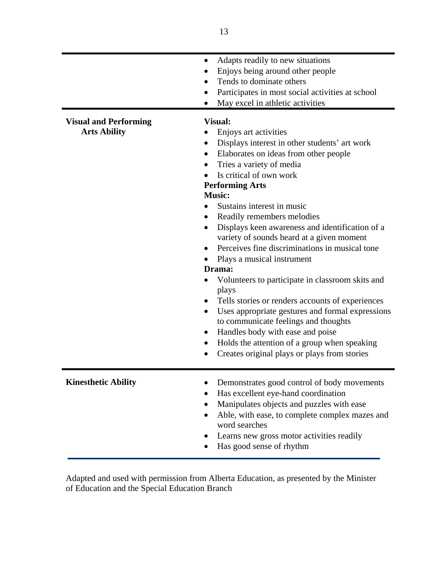|                                                     | Adapts readily to new situations<br>$\bullet$<br>Enjoys being around other people<br>Tends to dominate others<br>Participates in most social activities at school<br>$\bullet$<br>May excel in athletic activities                                                                                                                                                                                                                                                                                                                                                                                                                                                                                                                                                                                                                                                                                                       |
|-----------------------------------------------------|--------------------------------------------------------------------------------------------------------------------------------------------------------------------------------------------------------------------------------------------------------------------------------------------------------------------------------------------------------------------------------------------------------------------------------------------------------------------------------------------------------------------------------------------------------------------------------------------------------------------------------------------------------------------------------------------------------------------------------------------------------------------------------------------------------------------------------------------------------------------------------------------------------------------------|
| <b>Visual and Performing</b><br><b>Arts Ability</b> | <b>Visual:</b><br>Enjoys art activities<br>Displays interest in other students' art work<br>Elaborates on ideas from other people<br>$\bullet$<br>Tries a variety of media<br>$\bullet$<br>Is critical of own work<br><b>Performing Arts</b><br><b>Music:</b><br>Sustains interest in music<br>Readily remembers melodies<br>$\bullet$<br>Displays keen awareness and identification of a<br>$\bullet$<br>variety of sounds heard at a given moment<br>Perceives fine discriminations in musical tone<br>Plays a musical instrument<br>Drama:<br>Volunteers to participate in classroom skits and<br>plays<br>Tells stories or renders accounts of experiences<br>$\bullet$<br>Uses appropriate gestures and formal expressions<br>$\bullet$<br>to communicate feelings and thoughts<br>Handles body with ease and poise<br>Holds the attention of a group when speaking<br>Creates original plays or plays from stories |
| <b>Kinesthetic Ability</b>                          | Demonstrates good control of body movements<br>Has excellent eye-hand coordination<br>Manipulates objects and puzzles with ease<br>Able, with ease, to complete complex mazes and<br>word searches<br>Learns new gross motor activities readily<br>Has good sense of rhythm                                                                                                                                                                                                                                                                                                                                                                                                                                                                                                                                                                                                                                              |

Adapted and used with permission from Alberta Education, as presented by the Minister of Education and the Special Education Branch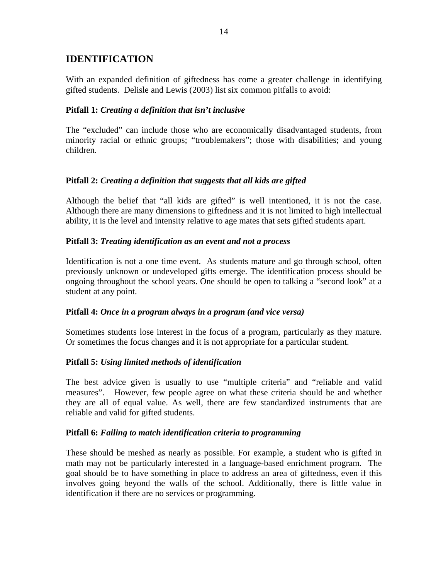# **IDENTIFICATION**

With an expanded definition of giftedness has come a greater challenge in identifying gifted students. Delisle and Lewis (2003) list six common pitfalls to avoid:

## **Pitfall 1:** *Creating a definition that isn't inclusive*

The "excluded" can include those who are economically disadvantaged students, from minority racial or ethnic groups; "troublemakers"; those with disabilities; and young children.

## **Pitfall 2:** *Creating a definition that suggests that all kids are gifted*

Although the belief that "all kids are gifted" is well intentioned, it is not the case. Although there are many dimensions to giftedness and it is not limited to high intellectual ability, it is the level and intensity relative to age mates that sets gifted students apart.

#### **Pitfall 3:** *Treating identification as an event and not a process*

Identification is not a one time event. As students mature and go through school, often previously unknown or undeveloped gifts emerge. The identification process should be ongoing throughout the school years. One should be open to talking a "second look" at a student at any point.

#### **Pitfall 4:** *Once in a program always in a program (and vice versa)*

Sometimes students lose interest in the focus of a program, particularly as they mature. Or sometimes the focus changes and it is not appropriate for a particular student.

## **Pitfall 5:** *Using limited methods of identification*

The best advice given is usually to use "multiple criteria" and "reliable and valid measures". However, few people agree on what these criteria should be and whether they are all of equal value. As well, there are few standardized instruments that are reliable and valid for gifted students.

#### **Pitfall 6:** *Failing to match identification criteria to programming*

These should be meshed as nearly as possible. For example, a student who is gifted in math may not be particularly interested in a language-based enrichment program. The goal should be to have something in place to address an area of giftedness, even if this involves going beyond the walls of the school. Additionally, there is little value in identification if there are no services or programming.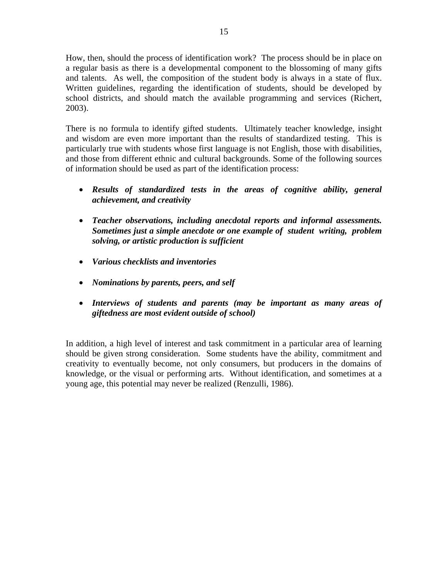How, then, should the process of identification work? The process should be in place on a regular basis as there is a developmental component to the blossoming of many gifts and talents. As well, the composition of the student body is always in a state of flux. Written guidelines, regarding the identification of students, should be developed by school districts, and should match the available programming and services (Richert, 2003).

There is no formula to identify gifted students. Ultimately teacher knowledge, insight and wisdom are even more important than the results of standardized testing. This is particularly true with students whose first language is not English, those with disabilities, and those from different ethnic and cultural backgrounds. Some of the following sources of information should be used as part of the identification process:

- *Results of standardized tests in the areas of cognitive ability, general achievement, and creativity*
- *Teacher observations, including anecdotal reports and informal assessments. Sometimes just a simple anecdote or one example of student writing, problem solving, or artistic production is sufficient*
- *Various checklists and inventories*
- *Nominations by parents, peers, and self*
- *Interviews of students and parents (may be important as many areas of giftedness are most evident outside of school)*

In addition, a high level of interest and task commitment in a particular area of learning should be given strong consideration. Some students have the ability, commitment and creativity to eventually become, not only consumers, but producers in the domains of knowledge, or the visual or performing arts. Without identification, and sometimes at a young age, this potential may never be realized (Renzulli, 1986).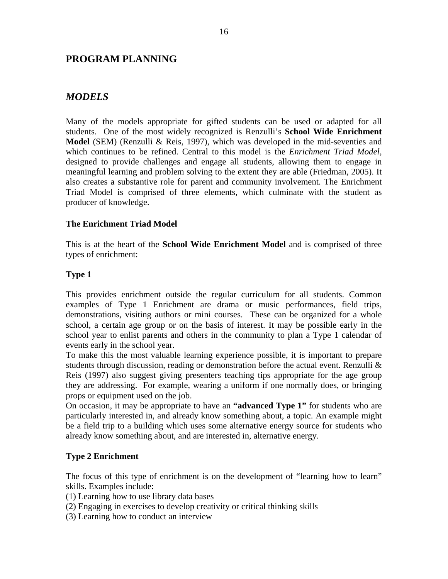## **PROGRAM PLANNING**

# *MODELS*

Many of the models appropriate for gifted students can be used or adapted for all students. One of the most widely recognized is Renzulli's **School Wide Enrichment Model** (SEM) (Renzulli & Reis, 1997), which was developed in the mid-seventies and which continues to be refined. Central to this model is the *Enrichment Triad Model,* designed to provide challenges and engage all students, allowing them to engage in meaningful learning and problem solving to the extent they are able (Friedman, 2005). It also creates a substantive role for parent and community involvement. The Enrichment Triad Model is comprised of three elements, which culminate with the student as producer of knowledge.

## **The Enrichment Triad Model**

This is at the heart of the **School Wide Enrichment Model** and is comprised of three types of enrichment:

## **Type 1**

This provides enrichment outside the regular curriculum for all students. Common examples of Type 1 Enrichment are drama or music performances, field trips, demonstrations, visiting authors or mini courses. These can be organized for a whole school, a certain age group or on the basis of interest. It may be possible early in the school year to enlist parents and others in the community to plan a Type 1 calendar of events early in the school year.

To make this the most valuable learning experience possible, it is important to prepare students through discussion, reading or demonstration before the actual event. Renzulli & Reis (1997) also suggest giving presenters teaching tips appropriate for the age group they are addressing. For example, wearing a uniform if one normally does, or bringing props or equipment used on the job.

On occasion, it may be appropriate to have an **"advanced Type 1"** for students who are particularly interested in, and already know something about, a topic. An example might be a field trip to a building which uses some alternative energy source for students who already know something about, and are interested in, alternative energy.

## **Type 2 Enrichment**

The focus of this type of enrichment is on the development of "learning how to learn" skills. Examples include:

- (1) Learning how to use library data bases
- (2) Engaging in exercises to develop creativity or critical thinking skills
- (3) Learning how to conduct an interview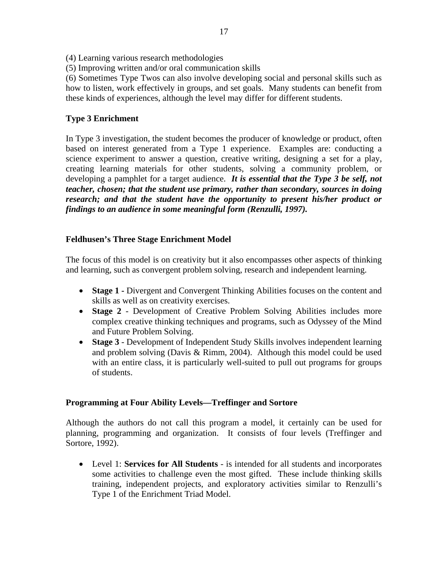- (4) Learning various research methodologies
- (5) Improving written and/or oral communication skills

(6) Sometimes Type Twos can also involve developing social and personal skills such as how to listen, work effectively in groups, and set goals. Many students can benefit from these kinds of experiences, although the level may differ for different students.

#### **Type 3 Enrichment**

In Type 3 investigation, the student becomes the producer of knowledge or product, often based on interest generated from a Type 1 experience. Examples are: conducting a science experiment to answer a question, creative writing, designing a set for a play, creating learning materials for other students, solving a community problem, or developing a pamphlet for a target audience. *It is essential that the Type 3 be self, not teacher, chosen; that the student use primary, rather than secondary, sources in doing research; and that the student have the opportunity to present his/her product or findings to an audience in some meaningful form (Renzulli, 1997).* 

#### **Feldhusen's Three Stage Enrichment Model**

The focus of this model is on creativity but it also encompasses other aspects of thinking and learning, such as convergent problem solving, research and independent learning.

- **Stage 1 -** Divergent and Convergent Thinking Abilities focuses on the content and skills as well as on creativity exercises.
- **Stage 2** Development of Creative Problem Solving Abilities includes more complex creative thinking techniques and programs, such as Odyssey of the Mind and Future Problem Solving.
- **Stage 3** Development of Independent Study Skills involves independent learning and problem solving (Davis & Rimm, 2004). Although this model could be used with an entire class, it is particularly well-suited to pull out programs for groups of students.

#### **Programming at Four Ability Levels—Treffinger and Sortore**

Although the authors do not call this program a model, it certainly can be used for planning, programming and organization. It consists of four levels (Treffinger and Sortore, 1992).

• Level 1: **Services for All Students** - is intended for all students and incorporates some activities to challenge even the most gifted. These include thinking skills training, independent projects, and exploratory activities similar to Renzulli's Type 1 of the Enrichment Triad Model.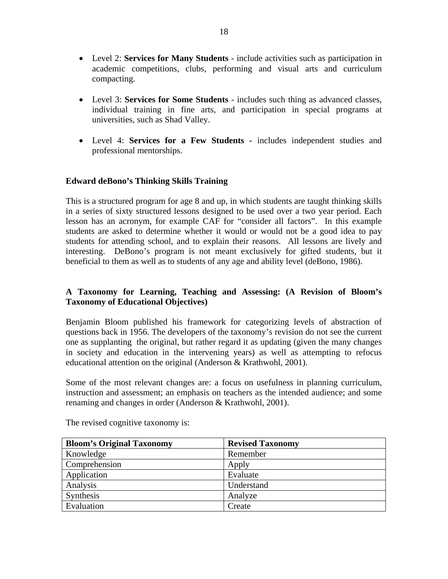- Level 2: **Services for Many Students** include activities such as participation in academic competitions, clubs, performing and visual arts and curriculum compacting.
- Level 3: **Services for Some Students** includes such thing as advanced classes, individual training in fine arts, and participation in special programs at universities, such as Shad Valley.
- Level 4: **Services for a Few Students** includes independent studies and professional mentorships.

## **Edward deBono's Thinking Skills Training**

This is a structured program for age 8 and up, in which students are taught thinking skills in a series of sixty structured lessons designed to be used over a two year period. Each lesson has an acronym, for example CAF for "consider all factors". In this example students are asked to determine whether it would or would not be a good idea to pay students for attending school, and to explain their reasons. All lessons are lively and interesting. DeBono's program is not meant exclusively for gifted students, but it beneficial to them as well as to students of any age and ability level (deBono, 1986).

## **A Taxonomy for Learning, Teaching and Assessing: (A Revision of Bloom's Taxonomy of Educational Objectives)**

Benjamin Bloom published his framework for categorizing levels of abstraction of questions back in 1956. The developers of the taxonomy's revision do not see the current one as supplanting the original, but rather regard it as updating (given the many changes in society and education in the intervening years) as well as attempting to refocus educational attention on the original (Anderson & Krathwohl, 2001).

Some of the most relevant changes are: a focus on usefulness in planning curriculum, instruction and assessment; an emphasis on teachers as the intended audience; and some renaming and changes in order (Anderson & Krathwohl, 2001).

| <b>Bloom's Original Taxonomy</b> | <b>Revised Taxonomy</b> |
|----------------------------------|-------------------------|
| Knowledge                        | Remember                |
| Comprehension                    | Apply                   |
| Application                      | Evaluate                |
| Analysis                         | Understand              |
| Synthesis                        | Analyze                 |
| Evaluation                       | Create                  |

The revised cognitive taxonomy is: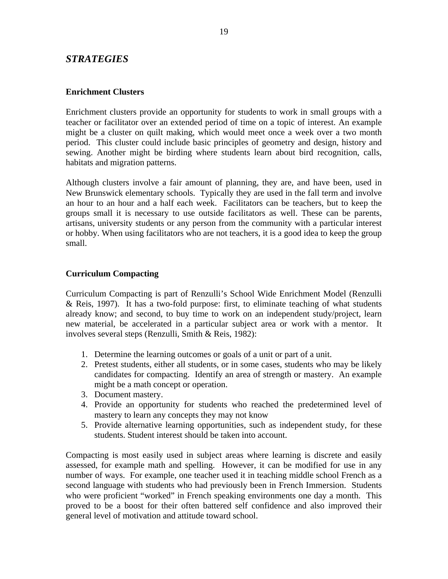## *STRATEGIES*

#### **Enrichment Clusters**

Enrichment clusters provide an opportunity for students to work in small groups with a teacher or facilitator over an extended period of time on a topic of interest. An example might be a cluster on quilt making, which would meet once a week over a two month period. This cluster could include basic principles of geometry and design, history and sewing. Another might be birding where students learn about bird recognition, calls, habitats and migration patterns.

Although clusters involve a fair amount of planning, they are, and have been, used in New Brunswick elementary schools. Typically they are used in the fall term and involve an hour to an hour and a half each week. Facilitators can be teachers, but to keep the groups small it is necessary to use outside facilitators as well. These can be parents, artisans, university students or any person from the community with a particular interest or hobby. When using facilitators who are not teachers, it is a good idea to keep the group small.

#### **Curriculum Compacting**

Curriculum Compacting is part of Renzulli's School Wide Enrichment Model (Renzulli & Reis, 1997). It has a two-fold purpose: first, to eliminate teaching of what students already know; and second, to buy time to work on an independent study/project, learn new material, be accelerated in a particular subject area or work with a mentor. It involves several steps (Renzulli, Smith & Reis, 1982):

- 1. Determine the learning outcomes or goals of a unit or part of a unit.
- 2. Pretest students, either all students, or in some cases, students who may be likely candidates for compacting. Identify an area of strength or mastery. An example might be a math concept or operation.
- 3. Document mastery.
- 4. Provide an opportunity for students who reached the predetermined level of mastery to learn any concepts they may not know
- 5. Provide alternative learning opportunities, such as independent study, for these students. Student interest should be taken into account.

Compacting is most easily used in subject areas where learning is discrete and easily assessed, for example math and spelling. However, it can be modified for use in any number of ways. For example, one teacher used it in teaching middle school French as a second language with students who had previously been in French Immersion. Students who were proficient "worked" in French speaking environments one day a month. This proved to be a boost for their often battered self confidence and also improved their general level of motivation and attitude toward school.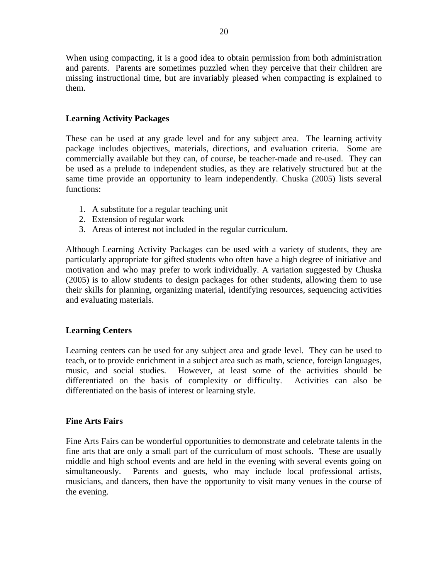When using compacting, it is a good idea to obtain permission from both administration and parents. Parents are sometimes puzzled when they perceive that their children are missing instructional time, but are invariably pleased when compacting is explained to them.

## **Learning Activity Packages**

These can be used at any grade level and for any subject area. The learning activity package includes objectives, materials, directions, and evaluation criteria. Some are commercially available but they can, of course, be teacher-made and re-used. They can be used as a prelude to independent studies, as they are relatively structured but at the same time provide an opportunity to learn independently. Chuska (2005) lists several functions:

- 1. A substitute for a regular teaching unit
- 2. Extension of regular work
- 3. Areas of interest not included in the regular curriculum.

Although Learning Activity Packages can be used with a variety of students, they are particularly appropriate for gifted students who often have a high degree of initiative and motivation and who may prefer to work individually. A variation suggested by Chuska (2005) is to allow students to design packages for other students, allowing them to use their skills for planning, organizing material, identifying resources, sequencing activities and evaluating materials.

#### **Learning Centers**

Learning centers can be used for any subject area and grade level. They can be used to teach, or to provide enrichment in a subject area such as math, science, foreign languages, music, and social studies. However, at least some of the activities should be differentiated on the basis of complexity or difficulty. Activities can also be differentiated on the basis of interest or learning style.

#### **Fine Arts Fairs**

Fine Arts Fairs can be wonderful opportunities to demonstrate and celebrate talents in the fine arts that are only a small part of the curriculum of most schools. These are usually middle and high school events and are held in the evening with several events going on simultaneously. Parents and guests, who may include local professional artists, musicians, and dancers, then have the opportunity to visit many venues in the course of the evening.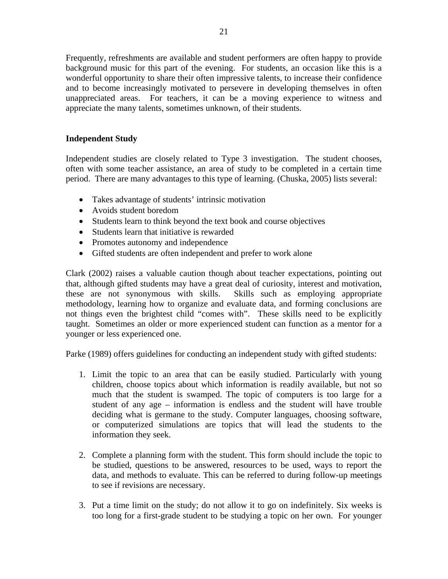Frequently, refreshments are available and student performers are often happy to provide background music for this part of the evening. For students, an occasion like this is a wonderful opportunity to share their often impressive talents, to increase their confidence and to become increasingly motivated to persevere in developing themselves in often unappreciated areas. For teachers, it can be a moving experience to witness and appreciate the many talents, sometimes unknown, of their students.

## **Independent Study**

Independent studies are closely related to Type 3 investigation. The student chooses, often with some teacher assistance, an area of study to be completed in a certain time period. There are many advantages to this type of learning. (Chuska, 2005) lists several:

- Takes advantage of students' intrinsic motivation
- Avoids student boredom
- Students learn to think beyond the text book and course objectives
- Students learn that initiative is rewarded
- Promotes autonomy and independence
- Gifted students are often independent and prefer to work alone

Clark (2002) raises a valuable caution though about teacher expectations, pointing out that, although gifted students may have a great deal of curiosity, interest and motivation, these are not synonymous with skills. Skills such as employing appropriate methodology, learning how to organize and evaluate data, and forming conclusions are not things even the brightest child "comes with". These skills need to be explicitly taught. Sometimes an older or more experienced student can function as a mentor for a younger or less experienced one.

Parke (1989) offers guidelines for conducting an independent study with gifted students:

- 1. Limit the topic to an area that can be easily studied. Particularly with young children, choose topics about which information is readily available, but not so much that the student is swamped. The topic of computers is too large for a student of any age – information is endless and the student will have trouble deciding what is germane to the study. Computer languages, choosing software, or computerized simulations are topics that will lead the students to the information they seek.
- 2. Complete a planning form with the student. This form should include the topic to be studied, questions to be answered, resources to be used, ways to report the data, and methods to evaluate. This can be referred to during follow-up meetings to see if revisions are necessary.
- 3. Put a time limit on the study; do not allow it to go on indefinitely. Six weeks is too long for a first-grade student to be studying a topic on her own. For younger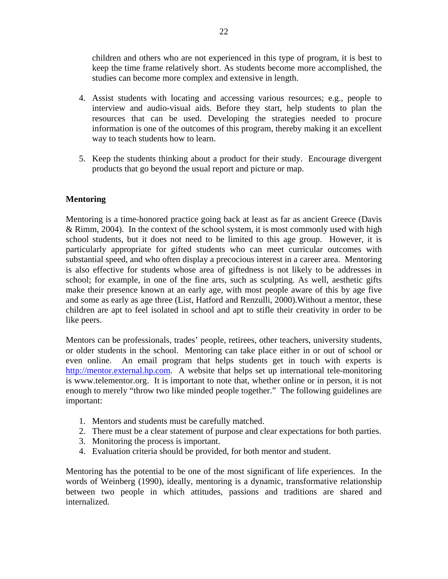children and others who are not experienced in this type of program, it is best to keep the time frame relatively short. As students become more accomplished, the studies can become more complex and extensive in length.

- 4. Assist students with locating and accessing various resources; e.g., people to interview and audio-visual aids. Before they start, help students to plan the resources that can be used. Developing the strategies needed to procure information is one of the outcomes of this program, thereby making it an excellent way to teach students how to learn.
- 5. Keep the students thinking about a product for their study. Encourage divergent products that go beyond the usual report and picture or map.

## **Mentoring**

Mentoring is a time-honored practice going back at least as far as ancient Greece (Davis & Rimm, 2004). In the context of the school system, it is most commonly used with high school students, but it does not need to be limited to this age group. However, it is particularly appropriate for gifted students who can meet curricular outcomes with substantial speed, and who often display a precocious interest in a career area. Mentoring is also effective for students whose area of giftedness is not likely to be addresses in school; for example, in one of the fine arts, such as sculpting. As well, aesthetic gifts make their presence known at an early age, with most people aware of this by age five and some as early as age three (List, Hatford and Renzulli, 2000).Without a mentor, these children are apt to feel isolated in school and apt to stifle their creativity in order to be like peers.

Mentors can be professionals, trades' people, retirees, other teachers, university students, or older students in the school. Mentoring can take place either in or out of school or even online. An email program that helps students get in touch with experts is http://mentor.external.hp.com. A website that helps set up international tele-monitoring is www.telementor.org. It is important to note that, whether online or in person, it is not enough to merely "throw two like minded people together." The following guidelines are important:

- 1. Mentors and students must be carefully matched.
- 2. There must be a clear statement of purpose and clear expectations for both parties.
- 3. Monitoring the process is important.
- 4. Evaluation criteria should be provided, for both mentor and student.

Mentoring has the potential to be one of the most significant of life experiences. In the words of Weinberg (1990), ideally, mentoring is a dynamic, transformative relationship between two people in which attitudes, passions and traditions are shared and internalized.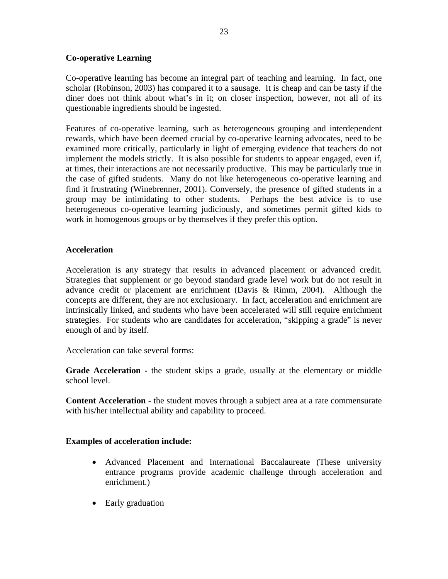## **Co-operative Learning**

Co-operative learning has become an integral part of teaching and learning. In fact, one scholar (Robinson, 2003) has compared it to a sausage. It is cheap and can be tasty if the diner does not think about what's in it; on closer inspection, however, not all of its questionable ingredients should be ingested.

Features of co-operative learning, such as heterogeneous grouping and interdependent rewards, which have been deemed crucial by co-operative learning advocates, need to be examined more critically, particularly in light of emerging evidence that teachers do not implement the models strictly. It is also possible for students to appear engaged, even if, at times, their interactions are not necessarily productive. This may be particularly true in the case of gifted students. Many do not like heterogeneous co-operative learning and find it frustrating (Winebrenner, 2001). Conversely, the presence of gifted students in a group may be intimidating to other students. Perhaps the best advice is to use heterogeneous co-operative learning judiciously, and sometimes permit gifted kids to work in homogenous groups or by themselves if they prefer this option.

## **Acceleration**

Acceleration is any strategy that results in advanced placement or advanced credit. Strategies that supplement or go beyond standard grade level work but do not result in advance credit or placement are enrichment (Davis & Rimm, 2004). Although the concepts are different, they are not exclusionary. In fact, acceleration and enrichment are intrinsically linked, and students who have been accelerated will still require enrichment strategies. For students who are candidates for acceleration, "skipping a grade" is never enough of and by itself.

Acceleration can take several forms:

**Grade Acceleration -** the student skips a grade, usually at the elementary or middle school level.

**Content Acceleration -** the student moves through a subject area at a rate commensurate with his/her intellectual ability and capability to proceed.

#### **Examples of acceleration include:**

- Advanced Placement and International Baccalaureate (These university entrance programs provide academic challenge through acceleration and enrichment.)
- Early graduation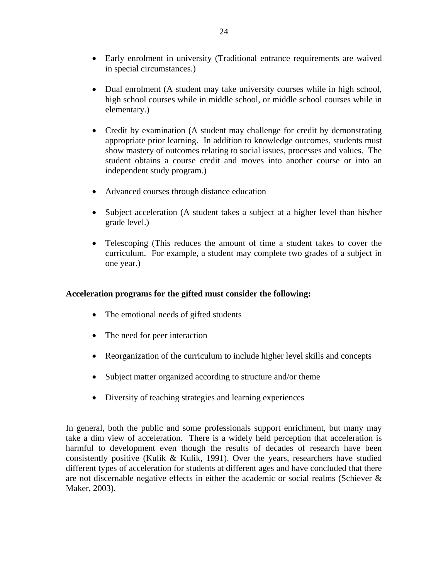- Early enrolment in university (Traditional entrance requirements are waived in special circumstances.)
- Dual enrolment (A student may take university courses while in high school, high school courses while in middle school, or middle school courses while in elementary.)
- Credit by examination (A student may challenge for credit by demonstrating appropriate prior learning. In addition to knowledge outcomes, students must show mastery of outcomes relating to social issues, processes and values. The student obtains a course credit and moves into another course or into an independent study program.)
- Advanced courses through distance education
- Subject acceleration (A student takes a subject at a higher level than his/her grade level.)
- Telescoping (This reduces the amount of time a student takes to cover the curriculum. For example, a student may complete two grades of a subject in one year.)

## **Acceleration programs for the gifted must consider the following:**

- The emotional needs of gifted students
- The need for peer interaction
- Reorganization of the curriculum to include higher level skills and concepts
- Subject matter organized according to structure and/or theme
- Diversity of teaching strategies and learning experiences

In general, both the public and some professionals support enrichment, but many may take a dim view of acceleration. There is a widely held perception that acceleration is harmful to development even though the results of decades of research have been consistently positive (Kulik & Kulik, 1991). Over the years, researchers have studied different types of acceleration for students at different ages and have concluded that there are not discernable negative effects in either the academic or social realms (Schiever & Maker, 2003).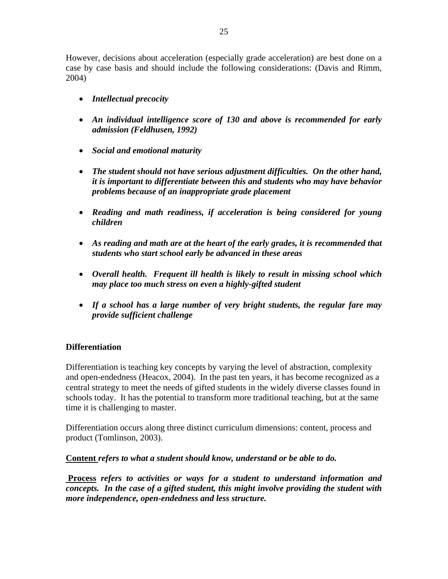However, decisions about acceleration (especially grade acceleration) are best done on a case by case basis and should include the following considerations: (Davis and Rimm, 2004)

- *Intellectual precocity*
- *An individual intelligence score of 130 and above is recommended for early admission (Feldhusen, 1992)*
- *Social and emotional maturity*
- *The student should not have serious adjustment difficulties. On the other hand, it is important to differentiate between this and students who may have behavior problems because of an inappropriate grade placement*
- *Reading and math readiness, if acceleration is being considered for young children*
- *As reading and math are at the heart of the early grades, it is recommended that students who start school early be advanced in these areas*
- *Overall health. Frequent ill health is likely to result in missing school which may place too much stress on even a highly-gifted student*
- *If a school has a large number of very bright students, the regular fare may provide sufficient challenge*

## **Differentiation**

Differentiation is teaching key concepts by varying the level of abstraction, complexity and open-endedness (Heacox, 2004). In the past ten years, it has become recognized as a central strategy to meet the needs of gifted students in the widely diverse classes found in schools today. It has the potential to transform more traditional teaching, but at the same time it is challenging to master.

Differentiation occurs along three distinct curriculum dimensions: content, process and product (Tomlinson, 2003).

**Content** *refers to what a student should know, understand or be able to do.*

 **Process** *refers to activities or ways for a student to understand information and concepts. In the case of a gifted student, this might involve providing the student with more independence, open-endedness and less structure.*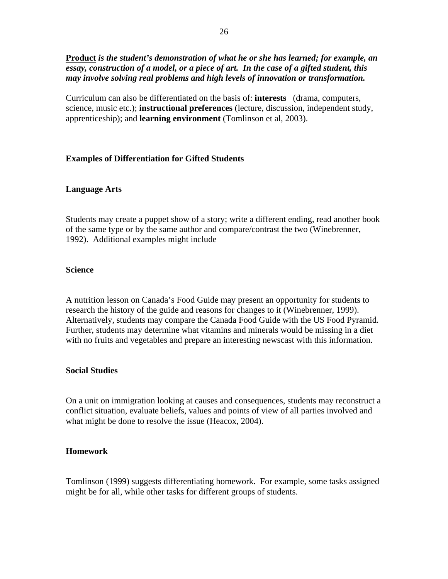**Product** *is the student's demonstration of what he or she has learned; for example, an essay, construction of a model, or a piece of art. In the case of a gifted student, this may involve solving real problems and high levels of innovation or transformation.* 

Curriculum can also be differentiated on the basis of: **interests** (drama, computers, science, music etc.); **instructional preferences** (lecture, discussion, independent study, apprenticeship); and **learning environment** (Tomlinson et al, 2003).

#### **Examples of Differentiation for Gifted Students**

#### **Language Arts**

Students may create a puppet show of a story; write a different ending, read another book of the same type or by the same author and compare/contrast the two (Winebrenner, 1992). Additional examples might include

#### **Science**

A nutrition lesson on Canada's Food Guide may present an opportunity for students to research the history of the guide and reasons for changes to it (Winebrenner, 1999). Alternatively, students may compare the Canada Food Guide with the US Food Pyramid. Further, students may determine what vitamins and minerals would be missing in a diet with no fruits and vegetables and prepare an interesting newscast with this information.

#### **Social Studies**

On a unit on immigration looking at causes and consequences, students may reconstruct a conflict situation, evaluate beliefs, values and points of view of all parties involved and what might be done to resolve the issue (Heacox, 2004).

#### **Homework**

Tomlinson (1999) suggests differentiating homework. For example, some tasks assigned might be for all, while other tasks for different groups of students.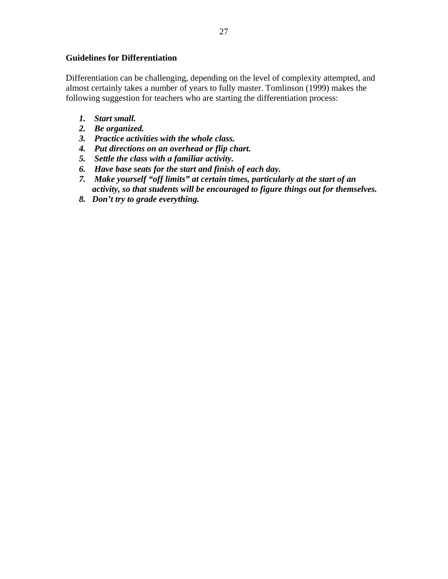### **Guidelines for Differentiation**

Differentiation can be challenging, depending on the level of complexity attempted, and almost certainly takes a number of years to fully master. Tomlinson (1999) makes the following suggestion for teachers who are starting the differentiation process:

- *1. Start small.*
- *2. Be organized.*
- *3. Practice activities with the whole class.*
- *4. Put directions on an overhead or flip chart.*
- *5. Settle the class with a familiar activity.*
- *6. Have base seats for the start and finish of each day.*
- *7. Make yourself "off limits" at certain times, particularly at the start of an activity, so that students will be encouraged to figure things out for themselves.*
- *8. Don't try to grade everything.*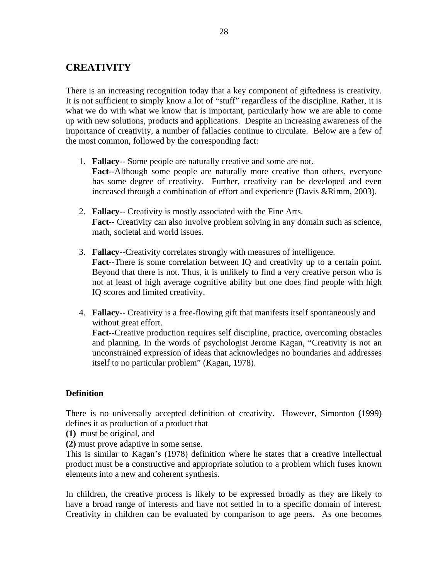# **CREATIVITY**

There is an increasing recognition today that a key component of giftedness is creativity. It is not sufficient to simply know a lot of "stuff" regardless of the discipline. Rather, it is what we do with what we know that is important, particularly how we are able to come up with new solutions, products and applications. Despite an increasing awareness of the importance of creativity, a number of fallacies continue to circulate. Below are a few of the most common, followed by the corresponding fact:

- 1. **Fallacy**-- Some people are naturally creative and some are not. **Fact**--Although some people are naturally more creative than others, everyone has some degree of creativity. Further, creativity can be developed and even increased through a combination of effort and experience (Davis &Rimm, 2003).
- 2. **Fallacy**-- Creativity is mostly associated with the Fine Arts. **Fact**-- Creativity can also involve problem solving in any domain such as science, math, societal and world issues.
- 3. **Fallacy**--Creativity correlates strongly with measures of intelligence. **Fact--**There is some correlation between IQ and creativity up to a certain point. Beyond that there is not. Thus, it is unlikely to find a very creative person who is not at least of high average cognitive ability but one does find people with high IQ scores and limited creativity.
- 4. **Fallacy**-- Creativity is a free-flowing gift that manifests itself spontaneously and without great effort. **Fact--**Creative production requires self discipline, practice, overcoming obstacles and planning. In the words of psychologist Jerome Kagan, "Creativity is not an unconstrained expression of ideas that acknowledges no boundaries and addresses itself to no particular problem" (Kagan, 1978).

## **Definition**

There is no universally accepted definition of creativity. However, Simonton (1999) defines it as production of a product that

**(1)** must be original, and

**(2)** must prove adaptive in some sense.

This is similar to Kagan's (1978) definition where he states that a creative intellectual product must be a constructive and appropriate solution to a problem which fuses known elements into a new and coherent synthesis.

In children, the creative process is likely to be expressed broadly as they are likely to have a broad range of interests and have not settled in to a specific domain of interest. Creativity in children can be evaluated by comparison to age peers. As one becomes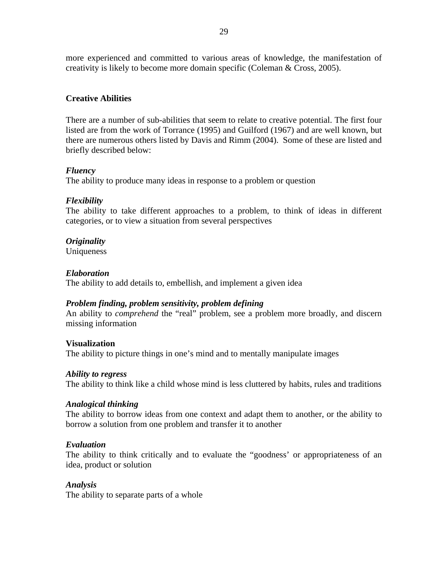more experienced and committed to various areas of knowledge, the manifestation of creativity is likely to become more domain specific (Coleman & Cross, 2005).

## **Creative Abilities**

There are a number of sub-abilities that seem to relate to creative potential. The first four listed are from the work of Torrance (1995) and Guilford (1967) and are well known, but there are numerous others listed by Davis and Rimm (2004). Some of these are listed and briefly described below:

## *Fluency*

The ability to produce many ideas in response to a problem or question

## *Flexibility*

The ability to take different approaches to a problem, to think of ideas in different categories, or to view a situation from several perspectives

## *Originality*

**Uniqueness** 

## *Elaboration*

The ability to add details to, embellish, and implement a given idea

## *Problem finding, problem sensitivity, problem defining*

An ability to *comprehend* the "real" problem, see a problem more broadly, and discern missing information

#### **Visualization**

The ability to picture things in one's mind and to mentally manipulate images

#### *Ability to regress*

The ability to think like a child whose mind is less cluttered by habits, rules and traditions

#### *Analogical thinking*

The ability to borrow ideas from one context and adapt them to another, or the ability to borrow a solution from one problem and transfer it to another

#### *Evaluation*

The ability to think critically and to evaluate the "goodness' or appropriateness of an idea, product or solution

#### *Analysis*

The ability to separate parts of a whole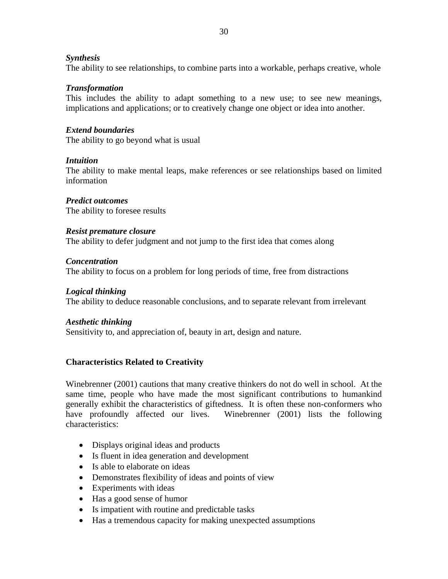#### *Synthesis*

The ability to see relationships, to combine parts into a workable, perhaps creative, whole

## *Transformation*

This includes the ability to adapt something to a new use; to see new meanings, implications and applications; or to creatively change one object or idea into another.

## *Extend boundaries*

The ability to go beyond what is usual

## *Intuition*

The ability to make mental leaps, make references or see relationships based on limited information

## *Predict outcomes*

The ability to foresee results

## *Resist premature closure*

The ability to defer judgment and not jump to the first idea that comes along

## *Concentration*

The ability to focus on a problem for long periods of time, free from distractions

### *Logical thinking*

The ability to deduce reasonable conclusions, and to separate relevant from irrelevant

#### *Aesthetic thinking*

Sensitivity to, and appreciation of, beauty in art, design and nature.

## **Characteristics Related to Creativity**

Winebrenner (2001) cautions that many creative thinkers do not do well in school. At the same time, people who have made the most significant contributions to humankind generally exhibit the characteristics of giftedness. It is often these non-conformers who have profoundly affected our lives. Winebrenner (2001) lists the following characteristics:

- Displays original ideas and products
- Is fluent in idea generation and development
- Is able to elaborate on ideas
- Demonstrates flexibility of ideas and points of view
- Experiments with ideas
- Has a good sense of humor
- Is impatient with routine and predictable tasks
- Has a tremendous capacity for making unexpected assumptions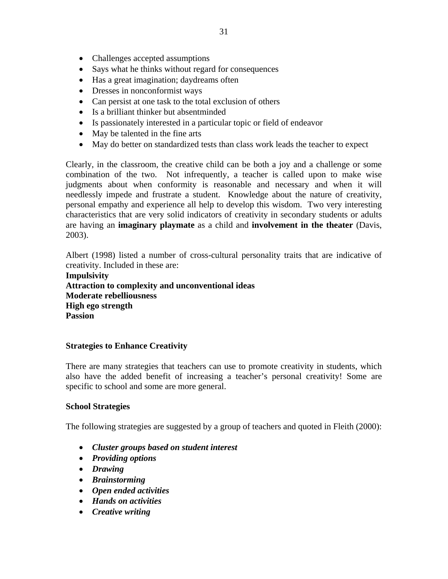- Says what he thinks without regard for consequences
- Has a great imagination; daydreams often
- Dresses in nonconformist ways
- Can persist at one task to the total exclusion of others
- Is a brilliant thinker but absentminded
- Is passionately interested in a particular topic or field of endeavor
- May be talented in the fine arts
- May do better on standardized tests than class work leads the teacher to expect

Clearly, in the classroom, the creative child can be both a joy and a challenge or some combination of the two. Not infrequently, a teacher is called upon to make wise judgments about when conformity is reasonable and necessary and when it will needlessly impede and frustrate a student. Knowledge about the nature of creativity, personal empathy and experience all help to develop this wisdom. Two very interesting characteristics that are very solid indicators of creativity in secondary students or adults are having an **imaginary playmate** as a child and **involvement in the theater** (Davis, 2003).

Albert (1998) listed a number of cross-cultural personality traits that are indicative of creativity. Included in these are:

**Impulsivity Attraction to complexity and unconventional ideas Moderate rebelliousness High ego strength Passion** 

# **Strategies to Enhance Creativity**

There are many strategies that teachers can use to promote creativity in students, which also have the added benefit of increasing a teacher's personal creativity! Some are specific to school and some are more general.

## **School Strategies**

The following strategies are suggested by a group of teachers and quoted in Fleith (2000):

- *Cluster groups based on student interest*
- *Providing options*
- *Drawing*
- *Brainstorming*
- *Open ended activities*
- *Hands on activities*
- *Creative writing*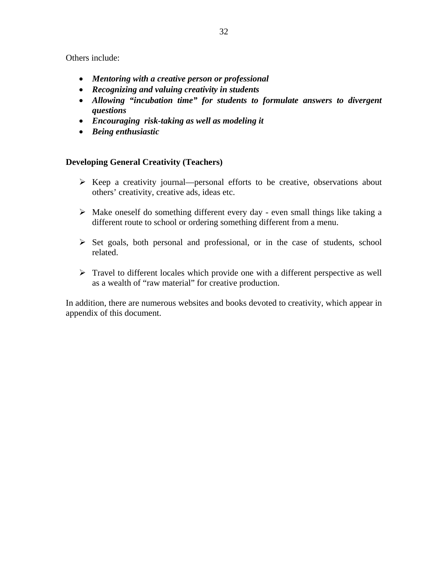Others include:

- *Mentoring with a creative person or professional*
- *Recognizing and valuing creativity in students*
- *Allowing "incubation time" for students to formulate answers to divergent questions*
- *Encouraging risk-taking as well as modeling it*
- *Being enthusiastic*

## **Developing General Creativity (Teachers)**

- $\triangleright$  Keep a creativity journal—personal efforts to be creative, observations about others' creativity, creative ads, ideas etc.
- $\triangleright$  Make oneself do something different every day even small things like taking a different route to school or ordering something different from a menu.
- ¾ Set goals, both personal and professional, or in the case of students, school related.
- $\triangleright$  Travel to different locales which provide one with a different perspective as well as a wealth of "raw material" for creative production.

In addition, there are numerous websites and books devoted to creativity, which appear in appendix of this document.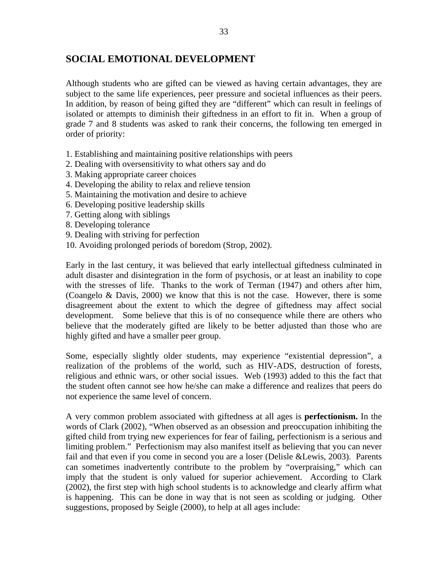# **SOCIAL EMOTIONAL DEVELOPMENT**

Although students who are gifted can be viewed as having certain advantages, they are subject to the same life experiences, peer pressure and societal influences as their peers. In addition, by reason of being gifted they are "different" which can result in feelings of isolated or attempts to diminish their giftedness in an effort to fit in. When a group of grade 7 and 8 students was asked to rank their concerns, the following ten emerged in order of priority:

- 1. Establishing and maintaining positive relationships with peers
- 2. Dealing with oversensitivity to what others say and do
- 3. Making appropriate career choices
- 4. Developing the ability to relax and relieve tension
- 5. Maintaining the motivation and desire to achieve
- 6. Developing positive leadership skills
- 7. Getting along with siblings
- 8. Developing tolerance
- 9. Dealing with striving for perfection
- 10. Avoiding prolonged periods of boredom (Strop, 2002).

Early in the last century, it was believed that early intellectual giftedness culminated in adult disaster and disintegration in the form of psychosis, or at least an inability to cope with the stresses of life. Thanks to the work of Terman (1947) and others after him, (Coangelo & Davis, 2000) we know that this is not the case. However, there is some disagreement about the extent to which the degree of giftedness may affect social development. Some believe that this is of no consequence while there are others who believe that the moderately gifted are likely to be better adjusted than those who are highly gifted and have a smaller peer group.

Some, especially slightly older students, may experience "existential depression", a realization of the problems of the world, such as HIV-ADS, destruction of forests, religious and ethnic wars, or other social issues. Web (1993) added to this the fact that the student often cannot see how he/she can make a difference and realizes that peers do not experience the same level of concern.

A very common problem associated with giftedness at all ages is **perfectionism.** In the words of Clark (2002), "When observed as an obsession and preoccupation inhibiting the gifted child from trying new experiences for fear of failing, perfectionism is a serious and limiting problem." Perfectionism may also manifest itself as believing that you can never fail and that even if you come in second you are a loser (Delisle &Lewis, 2003). Parents can sometimes inadvertently contribute to the problem by "overpraising," which can imply that the student is only valued for superior achievement. According to Clark (2002), the first step with high school students is to acknowledge and clearly affirm what is happening. This can be done in way that is not seen as scolding or judging. Other suggestions, proposed by Seigle (2000), to help at all ages include: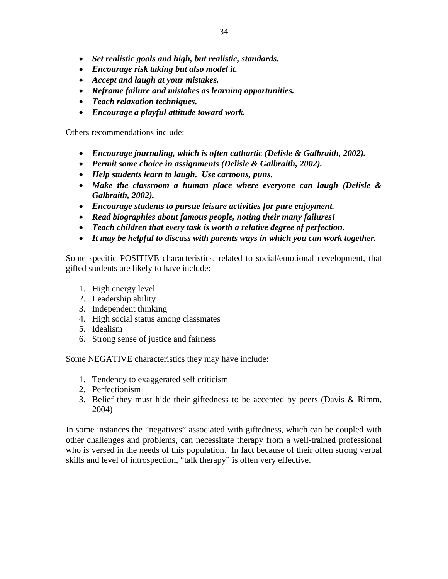- *Set realistic goals and high, but realistic, standards.*
- *Encourage risk taking but also model it.*
- *Accept and laugh at your mistakes.*
- *Reframe failure and mistakes as learning opportunities.*
- *Teach relaxation techniques.*
- *Encourage a playful attitude toward work.*

Others recommendations include:

- *Encourage journaling, which is often cathartic (Delisle & Galbraith, 2002).*
- *Permit some choice in assignments (Delisle & Galbraith, 2002).*
- *Help students learn to laugh. Use cartoons, puns.*
- *Make the classroom a human place where everyone can laugh (Delisle & Galbraith, 2002).*
- *Encourage students to pursue leisure activities for pure enjoyment.*
- *Read biographies about famous people, noting their many failures!*
- *Teach children that every task is worth a relative degree of perfection.*
- *It may be helpful to discuss with parents ways in which you can work together.*

Some specific POSITIVE characteristics, related to social/emotional development, that gifted students are likely to have include:

- 1. High energy level
- 2. Leadership ability
- 3. Independent thinking
- 4. High social status among classmates
- 5. Idealism
- 6. Strong sense of justice and fairness

Some NEGATIVE characteristics they may have include:

- 1. Tendency to exaggerated self criticism
- 2. Perfectionism
- 3. Belief they must hide their giftedness to be accepted by peers (Davis & Rimm, 2004)

In some instances the "negatives" associated with giftedness, which can be coupled with other challenges and problems, can necessitate therapy from a well-trained professional who is versed in the needs of this population. In fact because of their often strong verbal skills and level of introspection, "talk therapy" is often very effective.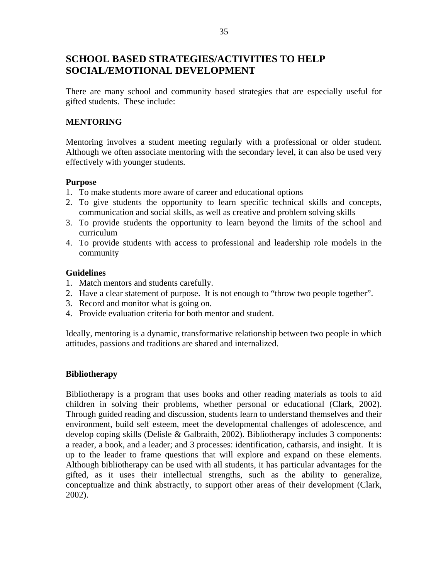# **SCHOOL BASED STRATEGIES/ACTIVITIES TO HELP SOCIAL/EMOTIONAL DEVELOPMENT**

There are many school and community based strategies that are especially useful for gifted students. These include:

## **MENTORING**

Mentoring involves a student meeting regularly with a professional or older student. Although we often associate mentoring with the secondary level, it can also be used very effectively with younger students.

#### **Purpose**

- 1. To make students more aware of career and educational options
- 2. To give students the opportunity to learn specific technical skills and concepts, communication and social skills, as well as creative and problem solving skills
- 3. To provide students the opportunity to learn beyond the limits of the school and curriculum
- 4. To provide students with access to professional and leadership role models in the community

#### **Guidelines**

- 1. Match mentors and students carefully.
- 2. Have a clear statement of purpose. It is not enough to "throw two people together".
- 3. Record and monitor what is going on.
- 4. Provide evaluation criteria for both mentor and student.

Ideally, mentoring is a dynamic, transformative relationship between two people in which attitudes, passions and traditions are shared and internalized.

#### **Bibliotherapy**

Bibliotherapy is a program that uses books and other reading materials as tools to aid children in solving their problems, whether personal or educational (Clark, 2002). Through guided reading and discussion, students learn to understand themselves and their environment, build self esteem, meet the developmental challenges of adolescence, and develop coping skills (Delisle & Galbraith, 2002). Bibliotherapy includes 3 components: a reader, a book, and a leader; and 3 processes: identification, catharsis, and insight. It is up to the leader to frame questions that will explore and expand on these elements. Although bibliotherapy can be used with all students, it has particular advantages for the gifted, as it uses their intellectual strengths, such as the ability to generalize, conceptualize and think abstractly, to support other areas of their development (Clark, 2002).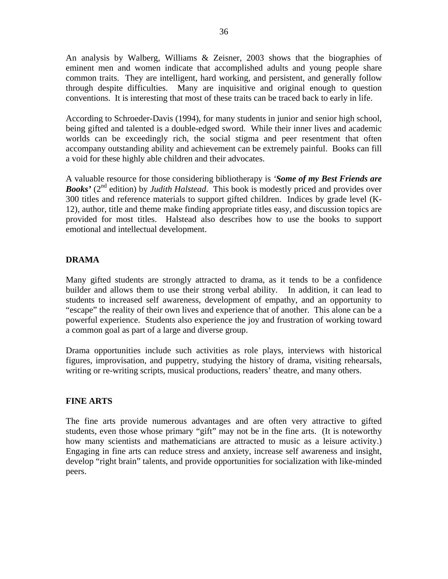An analysis by Walberg, Williams & Zeisner, 2003 shows that the biographies of eminent men and women indicate that accomplished adults and young people share common traits. They are intelligent, hard working, and persistent, and generally follow through despite difficulties. Many are inquisitive and original enough to question conventions. It is interesting that most of these traits can be traced back to early in life.

According to Schroeder-Davis (1994), for many students in junior and senior high school, being gifted and talented is a double-edged sword. While their inner lives and academic worlds can be exceedingly rich, the social stigma and peer resentment that often accompany outstanding ability and achievement can be extremely painful. Books can fill a void for these highly able children and their advocates.

A valuable resource for those considering bibliotherapy is *'Some of my Best Friends are*  **Books'** (2<sup>nd</sup> edition) by *Judith Halstead*. This book is modestly priced and provides over 300 titles and reference materials to support gifted children. Indices by grade level (K-12), author, title and theme make finding appropriate titles easy, and discussion topics are provided for most titles. Halstead also describes how to use the books to support emotional and intellectual development.

## **DRAMA**

Many gifted students are strongly attracted to drama, as it tends to be a confidence builder and allows them to use their strong verbal ability. In addition, it can lead to students to increased self awareness, development of empathy, and an opportunity to "escape" the reality of their own lives and experience that of another. This alone can be a powerful experience. Students also experience the joy and frustration of working toward a common goal as part of a large and diverse group.

Drama opportunities include such activities as role plays, interviews with historical figures, improvisation, and puppetry, studying the history of drama, visiting rehearsals, writing or re-writing scripts, musical productions, readers' theatre, and many others.

#### **FINE ARTS**

The fine arts provide numerous advantages and are often very attractive to gifted students, even those whose primary "gift" may not be in the fine arts. (It is noteworthy how many scientists and mathematicians are attracted to music as a leisure activity.) Engaging in fine arts can reduce stress and anxiety, increase self awareness and insight, develop "right brain" talents, and provide opportunities for socialization with like-minded peers.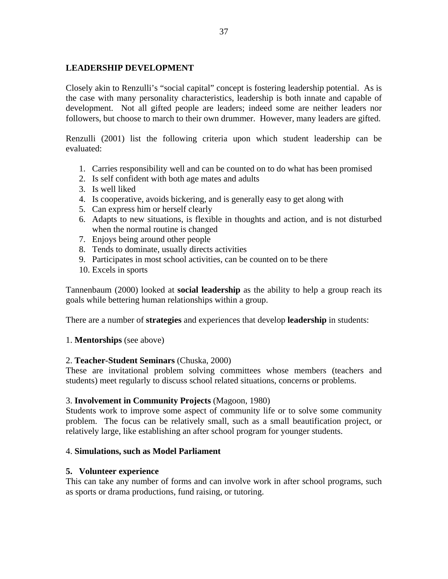### **LEADERSHIP DEVELOPMENT**

Closely akin to Renzulli's "social capital" concept is fostering leadership potential. As is the case with many personality characteristics, leadership is both innate and capable of development. Not all gifted people are leaders; indeed some are neither leaders nor followers, but choose to march to their own drummer. However, many leaders are gifted.

Renzulli (2001) list the following criteria upon which student leadership can be evaluated:

- 1. Carries responsibility well and can be counted on to do what has been promised
- 2. Is self confident with both age mates and adults
- 3. Is well liked
- 4. Is cooperative, avoids bickering, and is generally easy to get along with
- 5. Can express him or herself clearly
- 6. Adapts to new situations, is flexible in thoughts and action, and is not disturbed when the normal routine is changed
- 7. Enjoys being around other people
- 8. Tends to dominate, usually directs activities
- 9. Participates in most school activities, can be counted on to be there
- 10. Excels in sports

Tannenbaum (2000) looked at **social leadership** as the ability to help a group reach its goals while bettering human relationships within a group.

There are a number of **strategies** and experiences that develop **leadership** in students:

#### 1. **Mentorships** (see above)

#### 2. **Teacher-Student Seminars** (Chuska, 2000)

These are invitational problem solving committees whose members (teachers and students) meet regularly to discuss school related situations, concerns or problems.

#### 3. **Involvement in Community Projects** (Magoon, 1980)

Students work to improve some aspect of community life or to solve some community problem. The focus can be relatively small, such as a small beautification project, or relatively large, like establishing an after school program for younger students.

#### 4. **Simulations, such as Model Parliament**

#### **5. Volunteer experience**

This can take any number of forms and can involve work in after school programs, such as sports or drama productions, fund raising, or tutoring.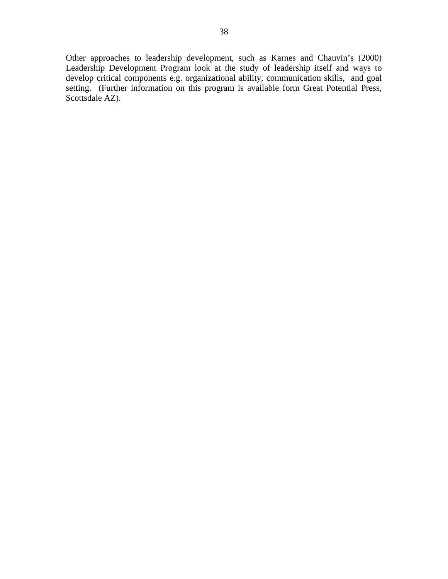Other approaches to leadership development, such as Karnes and Chauvin's (2000) Leadership Development Program look at the study of leadership itself and ways to develop critical components e.g. organizational ability, communication skills, and goal setting. (Further information on this program is available form Great Potential Press, Scottsdale AZ).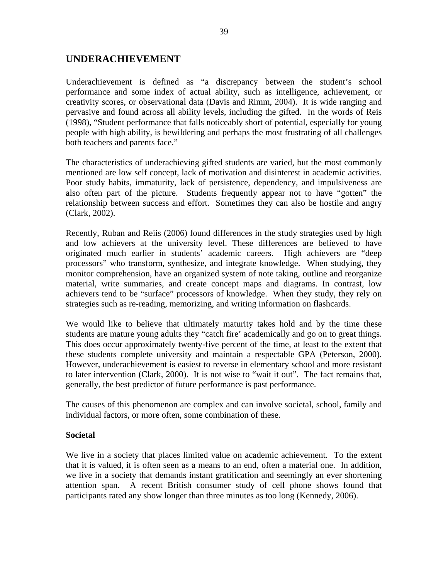# **UNDERACHIEVEMENT**

Underachievement is defined as "a discrepancy between the student's school performance and some index of actual ability, such as intelligence, achievement, or creativity scores, or observational data (Davis and Rimm, 2004). It is wide ranging and pervasive and found across all ability levels, including the gifted. In the words of Reis (1998), "Student performance that falls noticeably short of potential, especially for young people with high ability, is bewildering and perhaps the most frustrating of all challenges both teachers and parents face."

The characteristics of underachieving gifted students are varied, but the most commonly mentioned are low self concept, lack of motivation and disinterest in academic activities. Poor study habits, immaturity, lack of persistence, dependency, and impulsiveness are also often part of the picture. Students frequently appear not to have "gotten" the relationship between success and effort. Sometimes they can also be hostile and angry (Clark, 2002).

Recently, Ruban and Reiis (2006) found differences in the study strategies used by high and low achievers at the university level. These differences are believed to have originated much earlier in students' academic careers. High achievers are "deep processors" who transform, synthesize, and integrate knowledge. When studying, they monitor comprehension, have an organized system of note taking, outline and reorganize material, write summaries, and create concept maps and diagrams. In contrast, low achievers tend to be "surface" processors of knowledge. When they study, they rely on strategies such as re-reading, memorizing, and writing information on flashcards.

We would like to believe that ultimately maturity takes hold and by the time these students are mature young adults they "catch fire' academically and go on to great things. This does occur approximately twenty-five percent of the time, at least to the extent that these students complete university and maintain a respectable GPA (Peterson, 2000). However, underachievement is easiest to reverse in elementary school and more resistant to later intervention (Clark, 2000). It is not wise to "wait it out". The fact remains that, generally, the best predictor of future performance is past performance.

The causes of this phenomenon are complex and can involve societal, school, family and individual factors, or more often, some combination of these.

#### **Societal**

We live in a society that places limited value on academic achievement. To the extent that it is valued, it is often seen as a means to an end, often a material one. In addition, we live in a society that demands instant gratification and seemingly an ever shortening attention span. A recent British consumer study of cell phone shows found that participants rated any show longer than three minutes as too long (Kennedy, 2006).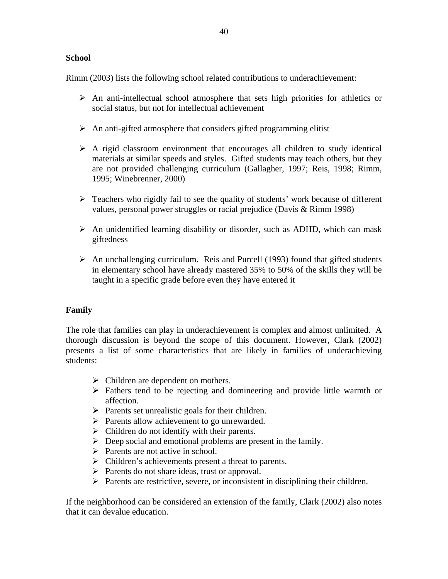#### **School**

Rimm (2003) lists the following school related contributions to underachievement:

- $\triangleright$  An anti-intellectual school atmosphere that sets high priorities for athletics or social status, but not for intellectual achievement
- $\triangleright$  An anti-gifted atmosphere that considers gifted programming elitist
- $\triangleright$  A rigid classroom environment that encourages all children to study identical materials at similar speeds and styles. Gifted students may teach others, but they are not provided challenging curriculum (Gallagher, 1997; Reis, 1998; Rimm, 1995; Winebrenner, 2000)
- $\triangleright$  Teachers who rigidly fail to see the quality of students' work because of different values, personal power struggles or racial prejudice (Davis & Rimm 1998)
- $\triangleright$  An unidentified learning disability or disorder, such as ADHD, which can mask giftedness
- $\triangleright$  An unchallenging curriculum. Reis and Purcell (1993) found that gifted students in elementary school have already mastered 35% to 50% of the skills they will be taught in a specific grade before even they have entered it

#### **Family**

The role that families can play in underachievement is complex and almost unlimited. A thorough discussion is beyond the scope of this document. However, Clark (2002) presents a list of some characteristics that are likely in families of underachieving students:

- $\triangleright$  Children are dependent on mothers.
- $\triangleright$  Fathers tend to be rejecting and domineering and provide little warmth or affection.
- $\triangleright$  Parents set unrealistic goals for their children.
- $\triangleright$  Parents allow achievement to go unrewarded.
- $\triangleright$  Children do not identify with their parents.
- $\triangleright$  Deep social and emotional problems are present in the family.
- $\triangleright$  Parents are not active in school.
- $\triangleright$  Children's achievements present a threat to parents.
- $\triangleright$  Parents do not share ideas, trust or approval.
- $\triangleright$  Parents are restrictive, severe, or inconsistent in disciplining their children.

If the neighborhood can be considered an extension of the family, Clark (2002) also notes that it can devalue education.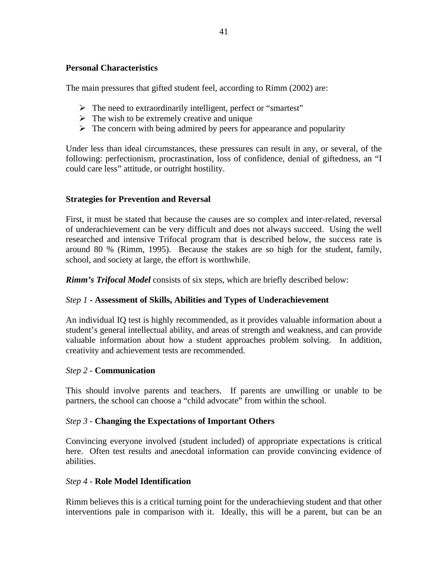## **Personal Characteristics**

The main pressures that gifted student feel, according to Rimm (2002) are:

- ¾ The need to extraordinarily intelligent, perfect or "smartest"
- $\triangleright$  The wish to be extremely creative and unique
- $\triangleright$  The concern with being admired by peers for appearance and popularity

Under less than ideal circumstances, these pressures can result in any, or several, of the following: perfectionism, procrastination, loss of confidence, denial of giftedness, an "I could care less" attitude, or outright hostility.

## **Strategies for Prevention and Reversal**

First, it must be stated that because the causes are so complex and inter-related, reversal of underachievement can be very difficult and does not always succeed. Using the well researched and intensive Trifocal program that is described below, the success rate is around 80 % (Rimm, 1995). Because the stakes are so high for the student, family, school, and society at large, the effort is worthwhile.

*Rimm's Trifocal Model* consists of six steps, which are briefly described below:

## *Step 1* **- Assessment of Skills, Abilities and Types of Underachievement**

An individual IQ test is highly recommended, as it provides valuable information about a student's general intellectual ability, and areas of strength and weakness, and can provide valuable information about how a student approaches problem solving. In addition, creativity and achievement tests are recommended.

## *Step 2* - **Communication**

This should involve parents and teachers. If parents are unwilling or unable to be partners, the school can choose a "child advocate" from within the school.

## *Step 3* - **Changing the Expectations of Important Others**

Convincing everyone involved (student included) of appropriate expectations is critical here. Often test results and anecdotal information can provide convincing evidence of abilities.

## *Step 4* - **Role Model Identification**

Rimm believes this is a critical turning point for the underachieving student and that other interventions pale in comparison with it. Ideally, this will be a parent, but can be an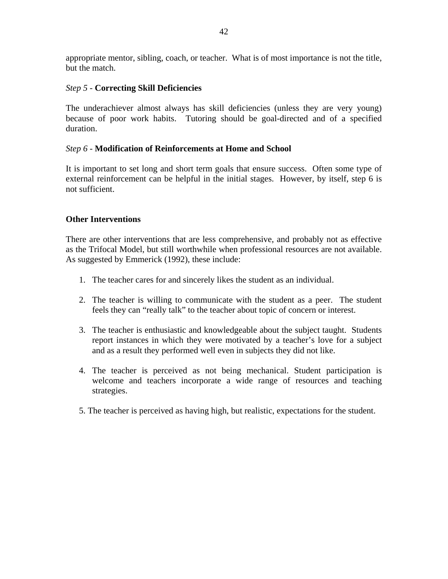appropriate mentor, sibling, coach, or teacher. What is of most importance is not the title, but the match.

### *Step 5* - **Correcting Skill Deficiencies**

The underachiever almost always has skill deficiencies (unless they are very young) because of poor work habits. Tutoring should be goal-directed and of a specified duration.

## *Step 6* - **Modification of Reinforcements at Home and School**

It is important to set long and short term goals that ensure success. Often some type of external reinforcement can be helpful in the initial stages. However, by itself, step 6 is not sufficient.

## **Other Interventions**

There are other interventions that are less comprehensive, and probably not as effective as the Trifocal Model, but still worthwhile when professional resources are not available. As suggested by Emmerick (1992), these include:

- 1. The teacher cares for and sincerely likes the student as an individual.
- 2. The teacher is willing to communicate with the student as a peer. The student feels they can "really talk" to the teacher about topic of concern or interest.
- 3. The teacher is enthusiastic and knowledgeable about the subject taught. Students report instances in which they were motivated by a teacher's love for a subject and as a result they performed well even in subjects they did not like.
- 4. The teacher is perceived as not being mechanical. Student participation is welcome and teachers incorporate a wide range of resources and teaching strategies.
- 5. The teacher is perceived as having high, but realistic, expectations for the student.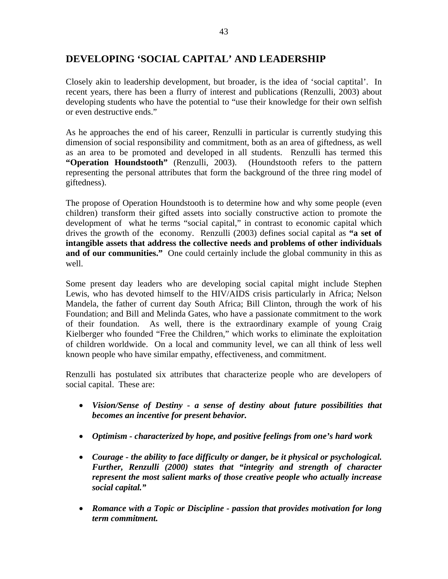# **DEVELOPING 'SOCIAL CAPITAL' AND LEADERSHIP**

Closely akin to leadership development, but broader, is the idea of 'social captital'. In recent years, there has been a flurry of interest and publications (Renzulli, 2003) about developing students who have the potential to "use their knowledge for their own selfish or even destructive ends."

As he approaches the end of his career, Renzulli in particular is currently studying this dimension of social responsibility and commitment, both as an area of giftedness, as well as an area to be promoted and developed in all students. Renzulli has termed this **"Operation Houndstooth"** (Renzulli, 2003). (Houndstooth refers to the pattern representing the personal attributes that form the background of the three ring model of giftedness).

The propose of Operation Houndstooth is to determine how and why some people (even children) transform their gifted assets into socially constructive action to promote the development of what he terms "social capital," in contrast to economic capital which drives the growth of the economy. Renzulli (2003) defines social capital as **"a set of intangible assets that address the collective needs and problems of other individuals**  and of our communities." One could certainly include the global community in this as well.

Some present day leaders who are developing social capital might include Stephen Lewis, who has devoted himself to the HIV/AIDS crisis particularly in Africa; Nelson Mandela, the father of current day South Africa; Bill Clinton, through the work of his Foundation; and Bill and Melinda Gates, who have a passionate commitment to the work of their foundation. As well, there is the extraordinary example of young Craig Kielberger who founded "Free the Children," which works to eliminate the exploitation of children worldwide. On a local and community level, we can all think of less well known people who have similar empathy, effectiveness, and commitment.

Renzulli has postulated six attributes that characterize people who are developers of social capital. These are:

- *Vision/Sense of Destiny a sense of destiny about future possibilities that becomes an incentive for present behavior.*
- *Optimism characterized by hope, and positive feelings from one's hard work*
- *Courage the ability to face difficulty or danger, be it physical or psychological. Further, Renzulli (2000) states that "integrity and strength of character represent the most salient marks of those creative people who actually increase social capital."*
- *Romance with a Topic or Discipline passion that provides motivation for long term commitment.*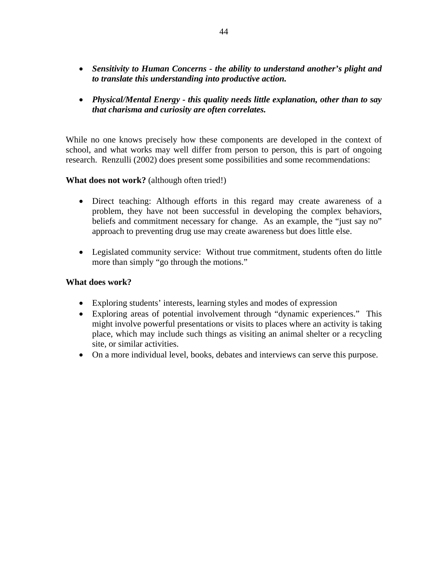- *Sensitivity to Human Concerns the ability to understand another's plight and to translate this understanding into productive action.*
- *Physical/Mental Energy this quality needs little explanation, other than to say that charisma and curiosity are often correlates.*

While no one knows precisely how these components are developed in the context of school, and what works may well differ from person to person, this is part of ongoing research. Renzulli (2002) does present some possibilities and some recommendations:

## **What does not work?** (although often tried!)

- Direct teaching: Although efforts in this regard may create awareness of a problem, they have not been successful in developing the complex behaviors, beliefs and commitment necessary for change. As an example, the "just say no" approach to preventing drug use may create awareness but does little else.
- Legislated community service: Without true commitment, students often do little more than simply "go through the motions."

#### **What does work?**

- Exploring students' interests, learning styles and modes of expression
- Exploring areas of potential involvement through "dynamic experiences." This might involve powerful presentations or visits to places where an activity is taking place, which may include such things as visiting an animal shelter or a recycling site, or similar activities.
- On a more individual level, books, debates and interviews can serve this purpose.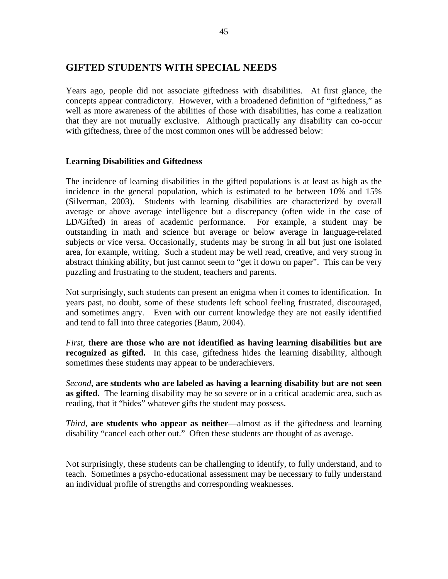## **GIFTED STUDENTS WITH SPECIAL NEEDS**

Years ago, people did not associate giftedness with disabilities. At first glance, the concepts appear contradictory. However, with a broadened definition of "giftedness," as well as more awareness of the abilities of those with disabilities, has come a realization that they are not mutually exclusive. Although practically any disability can co-occur with giftedness, three of the most common ones will be addressed below:

#### **Learning Disabilities and Giftedness**

The incidence of learning disabilities in the gifted populations is at least as high as the incidence in the general population, which is estimated to be between 10% and 15% (Silverman, 2003). Students with learning disabilities are characterized by overall average or above average intelligence but a discrepancy (often wide in the case of LD/Gifted) in areas of academic performance. For example, a student may be outstanding in math and science but average or below average in language-related subjects or vice versa. Occasionally, students may be strong in all but just one isolated area, for example, writing. Such a student may be well read, creative, and very strong in abstract thinking ability, but just cannot seem to "get it down on paper". This can be very puzzling and frustrating to the student, teachers and parents.

Not surprisingly, such students can present an enigma when it comes to identification. In years past, no doubt, some of these students left school feeling frustrated, discouraged, and sometimes angry. Even with our current knowledge they are not easily identified and tend to fall into three categories (Baum, 2004).

*First*, **there are those who are not identified as having learning disabilities but are recognized as gifted.** In this case, giftedness hides the learning disability, although sometimes these students may appear to be underachievers.

*Second*, **are students who are labeled as having a learning disability but are not seen as gifted.** The learning disability may be so severe or in a critical academic area, such as reading, that it "hides" whatever gifts the student may possess.

*Third*, **are students who appear as neither**—almost as if the giftedness and learning disability "cancel each other out." Often these students are thought of as average.

Not surprisingly, these students can be challenging to identify, to fully understand, and to teach. Sometimes a psycho-educational assessment may be necessary to fully understand an individual profile of strengths and corresponding weaknesses.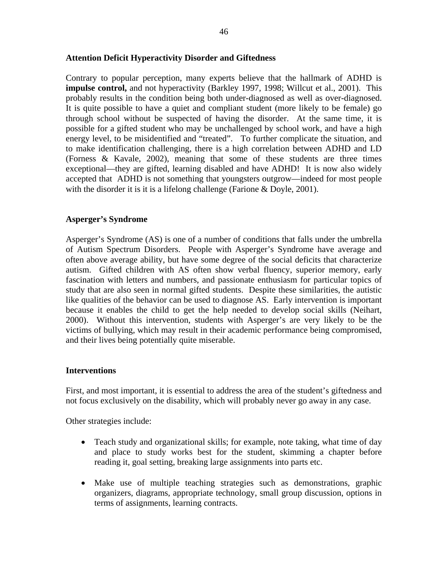#### **Attention Deficit Hyperactivity Disorder and Giftedness**

Contrary to popular perception, many experts believe that the hallmark of ADHD is **impulse control,** and not hyperactivity (Barkley 1997, 1998; Willcut et al., 2001). This probably results in the condition being both under-diagnosed as well as over-diagnosed. It is quite possible to have a quiet and compliant student (more likely to be female) go through school without be suspected of having the disorder. At the same time, it is possible for a gifted student who may be unchallenged by school work, and have a high energy level, to be misidentified and "treated". To further complicate the situation, and to make identification challenging, there is a high correlation between ADHD and LD (Forness & Kavale, 2002), meaning that some of these students are three times exceptional—they are gifted, learning disabled and have ADHD! It is now also widely accepted that ADHD is not something that youngsters outgrow—indeed for most people with the disorder it is it is a lifelong challenge (Farione & Doyle, 2001).

#### **Asperger's Syndrome**

Asperger's Syndrome (AS) is one of a number of conditions that falls under the umbrella of Autism Spectrum Disorders. People with Asperger's Syndrome have average and often above average ability, but have some degree of the social deficits that characterize autism. Gifted children with AS often show verbal fluency, superior memory, early fascination with letters and numbers, and passionate enthusiasm for particular topics of study that are also seen in normal gifted students. Despite these similarities, the autistic like qualities of the behavior can be used to diagnose AS. Early intervention is important because it enables the child to get the help needed to develop social skills (Neihart, 2000). Without this intervention, students with Asperger's are very likely to be the victims of bullying, which may result in their academic performance being compromised, and their lives being potentially quite miserable.

#### **Interventions**

First, and most important, it is essential to address the area of the student's giftedness and not focus exclusively on the disability, which will probably never go away in any case.

Other strategies include:

- Teach study and organizational skills; for example, note taking, what time of day and place to study works best for the student, skimming a chapter before reading it, goal setting, breaking large assignments into parts etc.
- Make use of multiple teaching strategies such as demonstrations, graphic organizers, diagrams, appropriate technology, small group discussion, options in terms of assignments, learning contracts.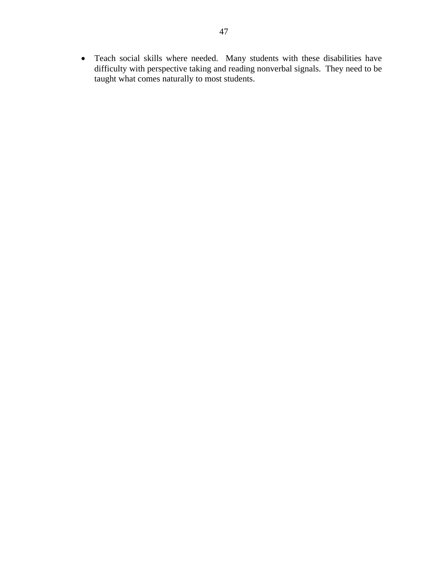• Teach social skills where needed. Many students with these disabilities have difficulty with perspective taking and reading nonverbal signals. They need to be taught what comes naturally to most students.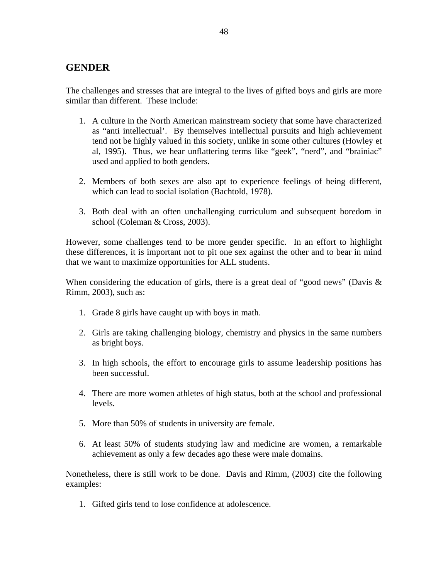## **GENDER**

The challenges and stresses that are integral to the lives of gifted boys and girls are more similar than different. These include:

- 1. A culture in the North American mainstream society that some have characterized as "anti intellectual'. By themselves intellectual pursuits and high achievement tend not be highly valued in this society, unlike in some other cultures (Howley et al, 1995). Thus, we hear unflattering terms like "geek", "nerd", and "brainiac" used and applied to both genders.
- 2. Members of both sexes are also apt to experience feelings of being different, which can lead to social isolation (Bachtold, 1978).
- 3. Both deal with an often unchallenging curriculum and subsequent boredom in school (Coleman & Cross, 2003).

However, some challenges tend to be more gender specific. In an effort to highlight these differences, it is important not to pit one sex against the other and to bear in mind that we want to maximize opportunities for ALL students.

When considering the education of girls, there is a great deal of "good news" (Davis  $\&$ Rimm, 2003), such as:

- 1. Grade 8 girls have caught up with boys in math.
- 2. Girls are taking challenging biology, chemistry and physics in the same numbers as bright boys.
- 3. In high schools, the effort to encourage girls to assume leadership positions has been successful.
- 4. There are more women athletes of high status, both at the school and professional levels.
- 5. More than 50% of students in university are female.
- 6. At least 50% of students studying law and medicine are women, a remarkable achievement as only a few decades ago these were male domains.

Nonetheless, there is still work to be done. Davis and Rimm, (2003) cite the following examples:

1. Gifted girls tend to lose confidence at adolescence.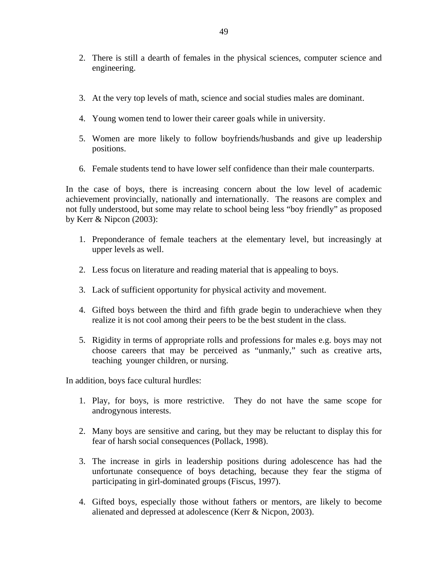- 2. There is still a dearth of females in the physical sciences, computer science and engineering.
- 3. At the very top levels of math, science and social studies males are dominant.
- 4. Young women tend to lower their career goals while in university.
- 5. Women are more likely to follow boyfriends/husbands and give up leadership positions.
- 6. Female students tend to have lower self confidence than their male counterparts.

In the case of boys, there is increasing concern about the low level of academic achievement provincially, nationally and internationally. The reasons are complex and not fully understood, but some may relate to school being less "boy friendly" as proposed by Kerr & Nipcon (2003):

- 1. Preponderance of female teachers at the elementary level, but increasingly at upper levels as well.
- 2. Less focus on literature and reading material that is appealing to boys.
- 3. Lack of sufficient opportunity for physical activity and movement.
- 4. Gifted boys between the third and fifth grade begin to underachieve when they realize it is not cool among their peers to be the best student in the class.
- 5. Rigidity in terms of appropriate rolls and professions for males e.g. boys may not choose careers that may be perceived as "unmanly," such as creative arts, teaching younger children, or nursing.

In addition, boys face cultural hurdles:

- 1. Play, for boys, is more restrictive. They do not have the same scope for androgynous interests.
- 2. Many boys are sensitive and caring, but they may be reluctant to display this for fear of harsh social consequences (Pollack, 1998).
- 3. The increase in girls in leadership positions during adolescence has had the unfortunate consequence of boys detaching, because they fear the stigma of participating in girl-dominated groups (Fiscus, 1997).
- 4. Gifted boys, especially those without fathers or mentors, are likely to become alienated and depressed at adolescence (Kerr & Nicpon, 2003).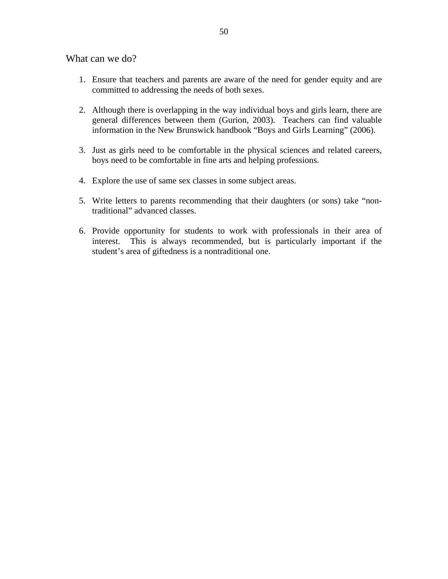What can we do?

- 1. Ensure that teachers and parents are aware of the need for gender equity and are committed to addressing the needs of both sexes.
- 2. Although there is overlapping in the way individual boys and girls learn, there are general differences between them (Gurion, 2003). Teachers can find valuable information in the New Brunswick handbook "Boys and Girls Learning" (2006).
- 3. Just as girls need to be comfortable in the physical sciences and related careers, boys need to be comfortable in fine arts and helping professions.
- 4. Explore the use of same sex classes in some subject areas.
- 5. Write letters to parents recommending that their daughters (or sons) take "nontraditional" advanced classes.
- 6. Provide opportunity for students to work with professionals in their area of interest. This is always recommended, but is particularly important if the student's area of giftedness is a nontraditional one.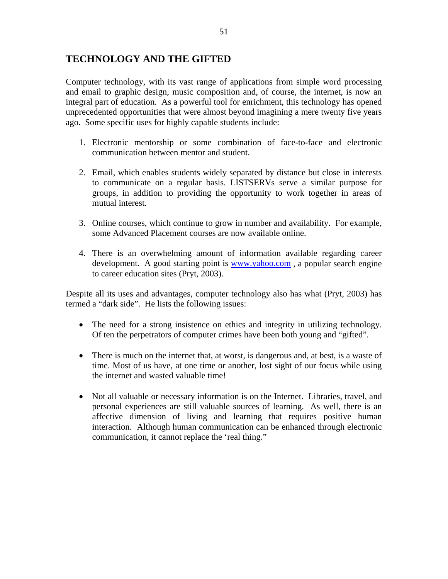# **TECHNOLOGY AND THE GIFTED**

Computer technology, with its vast range of applications from simple word processing and email to graphic design, music composition and, of course, the internet, is now an integral part of education. As a powerful tool for enrichment, this technology has opened unprecedented opportunities that were almost beyond imagining a mere twenty five years ago. Some specific uses for highly capable students include:

- 1. Electronic mentorship or some combination of face-to-face and electronic communication between mentor and student.
- 2. Email, which enables students widely separated by distance but close in interests to communicate on a regular basis. LISTSERVs serve a similar purpose for groups, in addition to providing the opportunity to work together in areas of mutual interest.
- 3. Online courses, which continue to grow in number and availability. For example, some Advanced Placement courses are now available online.
- 4. There is an overwhelming amount of information available regarding career development. A good starting point is www.yahoo.com, a popular search engine to career education sites (Pryt, 2003).

Despite all its uses and advantages, computer technology also has what (Pryt, 2003) has termed a "dark side". He lists the following issues:

- The need for a strong insistence on ethics and integrity in utilizing technology. Of ten the perpetrators of computer crimes have been both young and "gifted".
- There is much on the internet that, at worst, is dangerous and, at best, is a waste of time. Most of us have, at one time or another, lost sight of our focus while using the internet and wasted valuable time!
- Not all valuable or necessary information is on the Internet. Libraries, travel, and personal experiences are still valuable sources of learning. As well, there is an affective dimension of living and learning that requires positive human interaction. Although human communication can be enhanced through electronic communication, it cannot replace the 'real thing."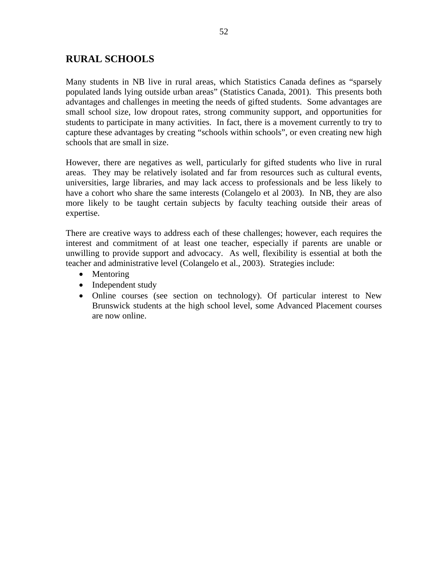# **RURAL SCHOOLS**

Many students in NB live in rural areas, which Statistics Canada defines as "sparsely populated lands lying outside urban areas" (Statistics Canada, 2001). This presents both advantages and challenges in meeting the needs of gifted students. Some advantages are small school size, low dropout rates, strong community support, and opportunities for students to participate in many activities. In fact, there is a movement currently to try to capture these advantages by creating "schools within schools", or even creating new high schools that are small in size.

However, there are negatives as well, particularly for gifted students who live in rural areas. They may be relatively isolated and far from resources such as cultural events, universities, large libraries, and may lack access to professionals and be less likely to have a cohort who share the same interests (Colangelo et al 2003). In NB, they are also more likely to be taught certain subjects by faculty teaching outside their areas of expertise.

There are creative ways to address each of these challenges; however, each requires the interest and commitment of at least one teacher, especially if parents are unable or unwilling to provide support and advocacy. As well, flexibility is essential at both the teacher and administrative level (Colangelo et al., 2003). Strategies include:

- Mentoring
- Independent study
- Online courses (see section on technology). Of particular interest to New Brunswick students at the high school level, some Advanced Placement courses are now online.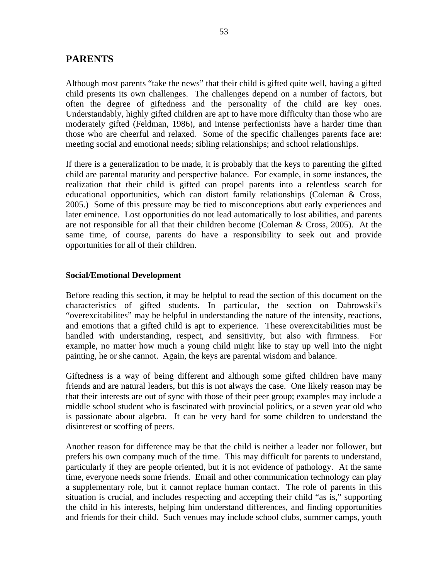## **PARENTS**

Although most parents "take the news" that their child is gifted quite well, having a gifted child presents its own challenges. The challenges depend on a number of factors, but often the degree of giftedness and the personality of the child are key ones. Understandably, highly gifted children are apt to have more difficulty than those who are moderately gifted (Feldman, 1986), and intense perfectionists have a harder time than those who are cheerful and relaxed. Some of the specific challenges parents face are: meeting social and emotional needs; sibling relationships; and school relationships.

If there is a generalization to be made, it is probably that the keys to parenting the gifted child are parental maturity and perspective balance. For example, in some instances, the realization that their child is gifted can propel parents into a relentless search for educational opportunities, which can distort family relationships (Coleman & Cross, 2005.) Some of this pressure may be tied to misconceptions abut early experiences and later eminence. Lost opportunities do not lead automatically to lost abilities, and parents are not responsible for all that their children become (Coleman & Cross, 2005). At the same time, of course, parents do have a responsibility to seek out and provide opportunities for all of their children.

#### **Social/Emotional Development**

Before reading this section, it may be helpful to read the section of this document on the characteristics of gifted students. In particular, the section on Dabrowski's "overexcitabilites" may be helpful in understanding the nature of the intensity, reactions, and emotions that a gifted child is apt to experience. These overexcitabilities must be handled with understanding, respect, and sensitivity, but also with firmness. For example, no matter how much a young child might like to stay up well into the night painting, he or she cannot. Again, the keys are parental wisdom and balance.

Giftedness is a way of being different and although some gifted children have many friends and are natural leaders, but this is not always the case. One likely reason may be that their interests are out of sync with those of their peer group; examples may include a middle school student who is fascinated with provincial politics, or a seven year old who is passionate about algebra. It can be very hard for some children to understand the disinterest or scoffing of peers.

Another reason for difference may be that the child is neither a leader nor follower, but prefers his own company much of the time. This may difficult for parents to understand, particularly if they are people oriented, but it is not evidence of pathology. At the same time, everyone needs some friends. Email and other communication technology can play a supplementary role, but it cannot replace human contact. The role of parents in this situation is crucial, and includes respecting and accepting their child "as is," supporting the child in his interests, helping him understand differences, and finding opportunities and friends for their child. Such venues may include school clubs, summer camps, youth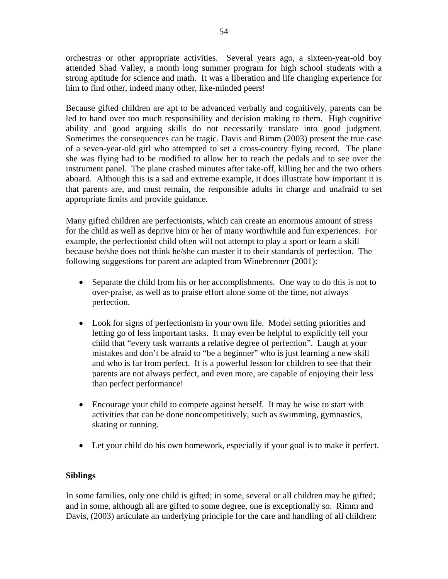orchestras or other appropriate activities. Several years ago, a sixteen-year-old boy attended Shad Valley, a month long summer program for high school students with a strong aptitude for science and math. It was a liberation and life changing experience for him to find other, indeed many other, like-minded peers!

Because gifted children are apt to be advanced verbally and cognitively, parents can be led to hand over too much responsibility and decision making to them. High cognitive ability and good arguing skills do not necessarily translate into good judgment. Sometimes the consequences can be tragic. Davis and Rimm (2003) present the true case of a seven-year-old girl who attempted to set a cross-country flying record. The plane she was flying had to be modified to allow her to reach the pedals and to see over the instrument panel. The plane crashed minutes after take-off, killing her and the two others aboard. Although this is a sad and extreme example, it does illustrate how important it is that parents are, and must remain, the responsible adults in charge and unafraid to set appropriate limits and provide guidance.

Many gifted children are perfectionists, which can create an enormous amount of stress for the child as well as deprive him or her of many worthwhile and fun experiences. For example, the perfectionist child often will not attempt to play a sport or learn a skill because he/she does not think he/she can master it to their standards of perfection. The following suggestions for parent are adapted from Winebrenner (2001):

- Separate the child from his or her accomplishments. One way to do this is not to over-praise, as well as to praise effort alone some of the time, not always perfection.
- Look for signs of perfectionism in your own life. Model setting priorities and letting go of less important tasks. It may even be helpful to explicitly tell your child that "every task warrants a relative degree of perfection". Laugh at your mistakes and don't be afraid to "be a beginner" who is just learning a new skill and who is far from perfect. It is a powerful lesson for children to see that their parents are not always perfect, and even more, are capable of enjoying their less than perfect performance!
- Encourage your child to compete against herself. It may be wise to start with activities that can be done noncompetitively, such as swimming, gymnastics, skating or running.
- Let your child do his own homework, especially if your goal is to make it perfect.

## **Siblings**

In some families, only one child is gifted; in some, several or all children may be gifted; and in some, although all are gifted to some degree, one is exceptionally so. Rimm and Davis, (2003) articulate an underlying principle for the care and handling of all children: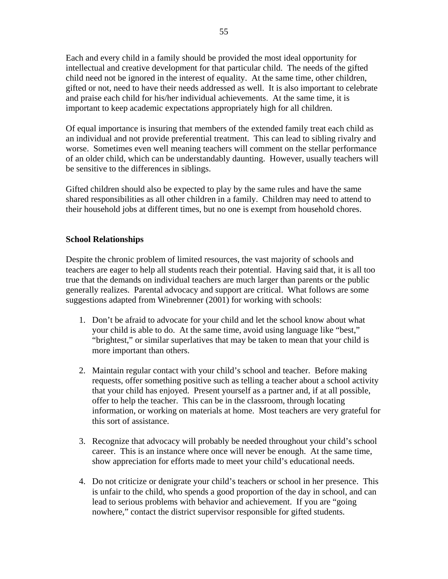Each and every child in a family should be provided the most ideal opportunity for intellectual and creative development for that particular child. The needs of the gifted child need not be ignored in the interest of equality. At the same time, other children, gifted or not, need to have their needs addressed as well. It is also important to celebrate and praise each child for his/her individual achievements. At the same time, it is important to keep academic expectations appropriately high for all children.

Of equal importance is insuring that members of the extended family treat each child as an individual and not provide preferential treatment. This can lead to sibling rivalry and worse. Sometimes even well meaning teachers will comment on the stellar performance of an older child, which can be understandably daunting. However, usually teachers will be sensitive to the differences in siblings.

Gifted children should also be expected to play by the same rules and have the same shared responsibilities as all other children in a family. Children may need to attend to their household jobs at different times, but no one is exempt from household chores.

## **School Relationships**

Despite the chronic problem of limited resources, the vast majority of schools and teachers are eager to help all students reach their potential. Having said that, it is all too true that the demands on individual teachers are much larger than parents or the public generally realizes. Parental advocacy and support are critical. What follows are some suggestions adapted from Winebrenner (2001) for working with schools:

- 1. Don't be afraid to advocate for your child and let the school know about what your child is able to do. At the same time, avoid using language like "best," "brightest," or similar superlatives that may be taken to mean that your child is more important than others.
- 2. Maintain regular contact with your child's school and teacher. Before making requests, offer something positive such as telling a teacher about a school activity that your child has enjoyed. Present yourself as a partner and, if at all possible, offer to help the teacher. This can be in the classroom, through locating information, or working on materials at home. Most teachers are very grateful for this sort of assistance.
- 3. Recognize that advocacy will probably be needed throughout your child's school career. This is an instance where once will never be enough. At the same time, show appreciation for efforts made to meet your child's educational needs.
- 4. Do not criticize or denigrate your child's teachers or school in her presence. This is unfair to the child, who spends a good proportion of the day in school, and can lead to serious problems with behavior and achievement. If you are "going nowhere," contact the district supervisor responsible for gifted students.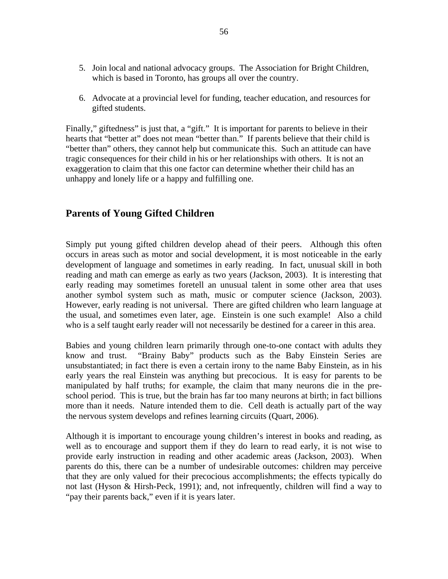- 5. Join local and national advocacy groups. The Association for Bright Children, which is based in Toronto, has groups all over the country.
- 6. Advocate at a provincial level for funding, teacher education, and resources for gifted students.

Finally," giftedness" is just that, a "gift." It is important for parents to believe in their hearts that "better at" does not mean "better than." If parents believe that their child is "better than" others, they cannot help but communicate this. Such an attitude can have tragic consequences for their child in his or her relationships with others. It is not an exaggeration to claim that this one factor can determine whether their child has an unhappy and lonely life or a happy and fulfilling one.

# **Parents of Young Gifted Children**

Simply put young gifted children develop ahead of their peers. Although this often occurs in areas such as motor and social development, it is most noticeable in the early development of language and sometimes in early reading. In fact, unusual skill in both reading and math can emerge as early as two years (Jackson, 2003). It is interesting that early reading may sometimes foretell an unusual talent in some other area that uses another symbol system such as math, music or computer science (Jackson, 2003). However, early reading is not universal. There are gifted children who learn language at the usual, and sometimes even later, age. Einstein is one such example! Also a child who is a self taught early reader will not necessarily be destined for a career in this area.

Babies and young children learn primarily through one-to-one contact with adults they know and trust. "Brainy Baby" products such as the Baby Einstein Series are unsubstantiated; in fact there is even a certain irony to the name Baby Einstein, as in his early years the real Einstein was anything but precocious. It is easy for parents to be manipulated by half truths; for example, the claim that many neurons die in the preschool period. This is true, but the brain has far too many neurons at birth; in fact billions more than it needs. Nature intended them to die. Cell death is actually part of the way the nervous system develops and refines learning circuits (Quart, 2006).

Although it is important to encourage young children's interest in books and reading, as well as to encourage and support them if they do learn to read early, it is not wise to provide early instruction in reading and other academic areas (Jackson, 2003). When parents do this, there can be a number of undesirable outcomes: children may perceive that they are only valued for their precocious accomplishments; the effects typically do not last (Hyson & Hirsh-Peck, 1991); and, not infrequently, children will find a way to "pay their parents back," even if it is years later.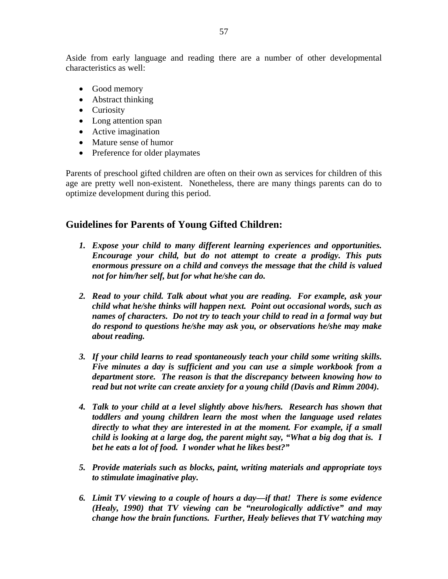Aside from early language and reading there are a number of other developmental characteristics as well:

- Good memory
- Abstract thinking
- Curiosity
- Long attention span
- Active imagination
- Mature sense of humor
- Preference for older playmates

Parents of preschool gifted children are often on their own as services for children of this age are pretty well non-existent. Nonetheless, there are many things parents can do to optimize development during this period.

# **Guidelines for Parents of Young Gifted Children:**

- *1. Expose your child to many different learning experiences and opportunities. Encourage your child, but do not attempt to create a prodigy. This puts enormous pressure on a child and conveys the message that the child is valued not for him/her self, but for what he/she can do.*
- *2. Read to your child. Talk about what you are reading. For example, ask your child what he/she thinks will happen next. Point out occasional words, such as names of characters. Do not try to teach your child to read in a formal way but do respond to questions he/she may ask you, or observations he/she may make about reading.*
- *3. If your child learns to read spontaneously teach your child some writing skills. Five minutes a day is sufficient and you can use a simple workbook from a department store. The reason is that the discrepancy between knowing how to read but not write can create anxiety for a young child (Davis and Rimm 2004).*
- *4. Talk to your child at a level slightly above his/hers. Research has shown that toddlers and young children learn the most when the language used relates directly to what they are interested in at the moment. For example, if a small child is looking at a large dog, the parent might say, "What a big dog that is. I bet he eats a lot of food. I wonder what he likes best?"*
- *5. Provide materials such as blocks, paint, writing materials and appropriate toys to stimulate imaginative play.*
- *6. Limit TV viewing to a couple of hours a day—if that! There is some evidence (Healy, 1990) that TV viewing can be "neurologically addictive" and may change how the brain functions. Further, Healy believes that TV watching may*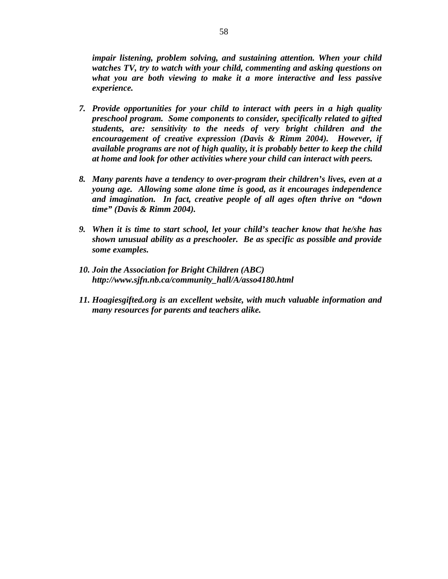*impair listening, problem solving, and sustaining attention. When your child watches TV, try to watch with your child, commenting and asking questions on what you are both viewing to make it a more interactive and less passive experience.* 

- *7. Provide opportunities for your child to interact with peers in a high quality preschool program. Some components to consider, specifically related to gifted students, are: sensitivity to the needs of very bright children and the encouragement of creative expression (Davis & Rimm 2004). However, if available programs are not of high quality, it is probably better to keep the child at home and look for other activities where your child can interact with peers.*
- *8. Many parents have a tendency to over-program their children's lives, even at a young age. Allowing some alone time is good, as it encourages independence and imagination. In fact, creative people of all ages often thrive on "down time" (Davis & Rimm 2004).*
- *9. When it is time to start school, let your child's teacher know that he/she has shown unusual ability as a preschooler. Be as specific as possible and provide some examples.*
- *10. Join the Association for Bright Children (ABC) http://www.sjfn.nb.ca/community\_hall/A/asso4180.html*
- *11. Hoagiesgifted.org is an excellent website, with much valuable information and many resources for parents and teachers alike.*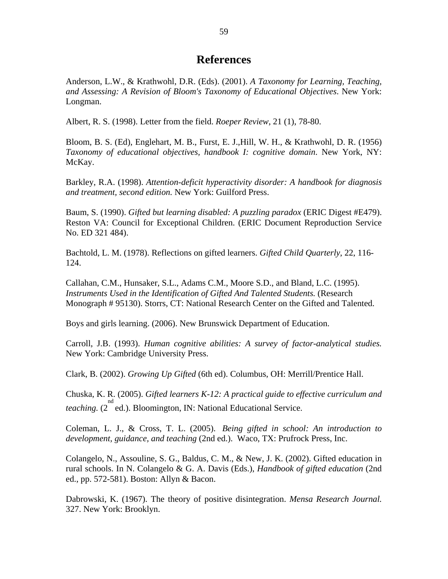# **References**

Anderson, L.W., & Krathwohl, D.R. (Eds). (2001). *A Taxonomy for Learning, Teaching, and Assessing: A Revision of Bloom's Taxonomy of Educational Objectives*. New York: Longman.

Albert, R. S. (1998). Letter from the field. *Roeper Review*, 21 (1), 78-80.

Bloom, B. S. (Ed), Englehart, M. B., Furst, E. J.,Hill, W. H., & Krathwohl, D. R. (1956) *Taxonomy of educational objectives, handbook I: cognitive domain*. New York, NY: McKay.

Barkley, R.A. (1998). *Attention-deficit hyperactivity disorder: A handbook for diagnosis and treatment, second edition.* New York: Guilford Press.

Baum, S. (1990). *Gifted but learning disabled: A puzzling paradox* (ERIC Digest #E479). Reston VA: Council for Exceptional Children. (ERIC Document Reproduction Service No. ED 321 484).

Bachtold, L. M. (1978). Reflections on gifted learners. *Gifted Child Quarterly*, 22, 116- 124.

Callahan, C.M., Hunsaker, S.L., Adams C.M., Moore S.D., and Bland, L.C. (1995). *Instruments Used in the Identification of Gifted And Talented Students.* (Research Monograph # 95130). Storrs, CT: National Research Center on the Gifted and Talented.

Boys and girls learning. (2006). New Brunswick Department of Education.

Carroll, J.B. (1993). *Human cognitive abilities: A survey of factor-analytical studies.*  New York: Cambridge University Press.

Clark, B. (2002). *Growing Up Gifted* (6th ed). Columbus, OH: Merrill/Prentice Hall.

Chuska, K. R. (2005). *Gifted learners K-12: A practical guide to effective curriculum and*  teaching. (2<sup>nd</sup> ed.). Bloomington, IN: National Educational Service.

Coleman, L. J., & Cross, T. L. (2005). *Being gifted in school: An introduction to development, guidance, and teaching* (2nd ed.). Waco, TX: Prufrock Press, Inc.

Colangelo, N., Assouline, S. G., Baldus, C. M., & New, J. K. (2002). Gifted education in rural schools. In N. Colangelo & G. A. Davis (Eds.), *Handbook of gifted education* (2nd ed., pp. 572-581). Boston: Allyn & Bacon.

Dabrowski, K. (1967). The theory of positive disintegration. *Mensa Research Journal.* 327. New York: Brooklyn.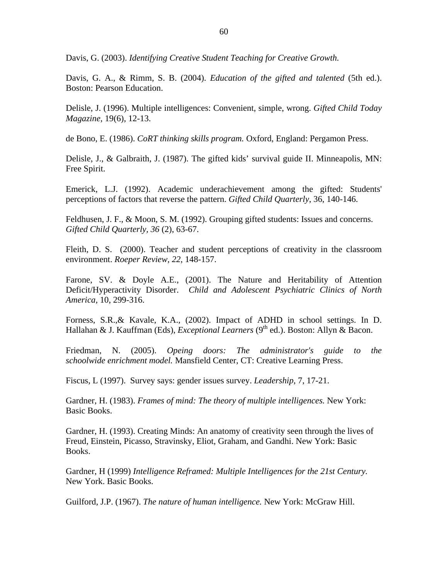Davis, G. (2003). *Identifying Creative Student Teaching for Creative Growth.*

Davis, G. A., & Rimm, S. B. (2004). *Education of the gifted and talented* (5th ed.). Boston: Pearson Education.

Delisle, J. (1996). Multiple intelligences: Convenient, simple, wrong. *Gifted Child Today Magazine,* 19(6), 12-13.

de Bono, E. (1986). *CoRT thinking skills program.* Oxford, England: Pergamon Press.

Delisle, J., & Galbraith, J. (1987). The gifted kids' survival guide II. Minneapolis, MN: Free Spirit.

Emerick, L.J. (1992). Academic underachievement among the gifted: Students' perceptions of factors that reverse the pattern. *Gifted Child Quarterly*, 36, 140-146.

Feldhusen, J. F., & Moon, S. M. (1992). Grouping gifted students: Issues and concerns. *Gifted Child Quarterly, 36* (2), 63-67.

Fleith, D. S. (2000). Teacher and student perceptions of creativity in the classroom environment. *Roeper Review, 22*, 148-157.

Farone, SV. & Doyle A.E., (2001). The Nature and Heritability of Attention Deficit/Hyperactivity Disorder. *Child and Adolescent Psychiatric Clinics of North America,* 10, 299-316.

Forness, S.R.,& Kavale, K.A., (2002). Impact of ADHD in school settings. In D. Hallahan & J. Kauffman (Eds), *Exceptional Learners* (9<sup>th</sup> ed.). Boston: Allyn & Bacon.

Friedman, N. (2005). *Opeing doors: The administrator's guide to the schoolwide enrichment model.* Mansfield Center, CT: Creative Learning Press.

Fiscus, L (1997). Survey says: gender issues survey. *Leadership*, 7, 17-21.

Gardner, H. (1983). *Frames of mind: The theory of multiple intelligences.* New York: Basic Books.

Gardner, H. (1993). Creating Minds: An anatomy of creativity seen through the lives of Freud, Einstein, Picasso, Stravinsky, Eliot, Graham, and Gandhi. New York: Basic Books.

Gardner, H (1999) *Intelligence Reframed: Multiple Intelligences for the 21st Century.*  New York. Basic Books.

Guilford, J.P. (1967). *The nature of human intelligence.* New York: McGraw Hill.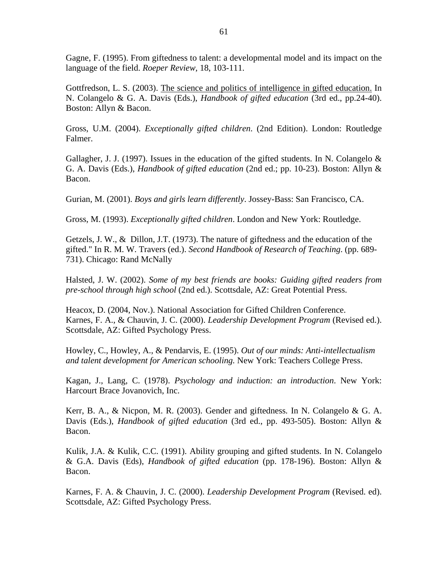Gagne, F. (1995). From giftedness to talent: a developmental model and its impact on the language of the field. *Roeper Review,* 18, 103-111.

Gottfredson, L. S. (2003). The science and politics of intelligence in gifted education. In N. Colangelo & G. A. Davis (Eds.), *Handbook of gifted education* (3rd ed., pp.24-40). Boston: Allyn & Bacon.

Gross, U.M. (2004). *Exceptionally gifted children*. (2nd Edition). London: Routledge Falmer.

Gallagher, J. J. (1997). Issues in the education of the gifted students. In N. Colangelo  $\&$ G. A. Davis (Eds.), *Handbook of gifted education* (2nd ed.; pp. 10-23). Boston: Allyn & Bacon.

Gurian, M. (2001). *Boys and girls learn differently*. Jossey-Bass: San Francisco, CA.

Gross, M. (1993). *Exceptionally gifted children*. London and New York: Routledge.

Getzels, J. W., & Dillon, J.T. (1973). The nature of giftedness and the education of the gifted." In R. M. W. Travers (ed.). *Second Handbook of Research of Teaching*. (pp. 689- 731). Chicago: Rand McNally

Halsted, J. W. (2002). *Some of my best friends are books: Guiding gifted readers from pre-school through high school* (2nd ed.). Scottsdale, AZ: Great Potential Press.

Heacox, D. (2004, Nov.). National Association for Gifted Children Conference. Karnes, F. A., & Chauvin, J. C. (2000). *Leadership Development Program* (Revised ed.). Scottsdale, AZ: Gifted Psychology Press.

Howley, C., Howley, A., & Pendarvis, E. (1995). *Out of our minds: Anti-intellectualism and talent development for American schooling.* New York: Teachers College Press.

Kagan, J., Lang, C. (1978). *Psychology and induction: an introduction*. New York: Harcourt Brace Jovanovich, Inc.

Kerr, B. A., & Nicpon, M. R. (2003). Gender and giftedness*.* In N. Colangelo & G. A. Davis (Eds.), *Handbook of gifted education* (3rd ed., pp. 493-505). Boston: Allyn & Bacon.

Kulik, J.A. & Kulik, C.C. (1991). Ability grouping and gifted students. In N. Colangelo & G.A. Davis (Eds), *Handbook of gifted education* (pp. 178-196). Boston: Allyn & Bacon.

Karnes, F. A. & Chauvin, J. C. (2000). *Leadership Development Program* (Revised. ed). Scottsdale, AZ: Gifted Psychology Press.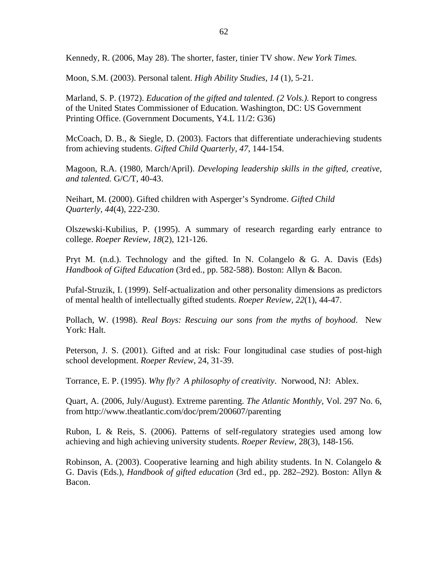Kennedy, R. (2006, May 28). The shorter, faster, tinier TV show. *New York Times.*

Moon, S.M. (2003). Personal talent. *High Ability Studies, 14* (1), 5-21.

Marland, S. P. (1972). *Education of the gifted and talented. (2 Vols.).* Report to congress of the United States Commissioner of Education. Washington, DC: US Government Printing Office. (Government Documents, Y4.L 11/2: G36)

McCoach, D. B., & Siegle, D. (2003). Factors that differentiate underachieving students from achieving students. *Gifted Child Quarterly, 47*, 144-154.

Magoon, R.A. (1980, March/April). *Developing leadership skills in the gifted, creative, and talented.* G/C/T, 40-43.

Neihart, M. (2000). Gifted children with Asperger's Syndrome. *Gifted Child Quarterly, 44*(4), 222-230.

Olszewski-Kubilius, P. (1995). A summary of research regarding early entrance to college. *Roeper Review, 18*(2), 121-126.

Pryt M.  $(n.d.)$ . Technology and the gifted. In N. Colangelo & G. A. Davis (Eds) *Handbook of Gifted Education* (3rd ed., pp. 582-588). Boston: Allyn & Bacon.

Pufal-Struzik, I. (1999). Self-actualization and other personality dimensions as predictors of mental health of intellectually gifted students. *Roeper Review, 22*(1), 44-47.

Pollach, W. (1998). *Real Boys: Rescuing our sons from the myths of boyhood*. New York: Halt.

Peterson, J. S. (2001). Gifted and at risk: Four longitudinal case studies of post-high school development. *Roeper Review*, 24, 31-39.

Torrance, E. P. (1995). *Why fly? A philosophy of creativity*. Norwood, NJ: Ablex.

Quart, A. (2006, July/August). Extreme parenting. *The Atlantic Monthly,* Vol. 297 No. 6, from http://www.theatlantic.com/doc/prem/200607/parenting

Rubon, L & Reis, S. (2006). Patterns of self-regulatory strategies used among low achieving and high achieving university students. *Roeper Review*, 28(3), 148-156.

Robinson, A. (2003). Cooperative learning and high ability students. In N. Colangelo & G. Davis (Eds.), *Handbook of gifted education* (3rd ed., pp. 282–292). Boston: Allyn & Bacon.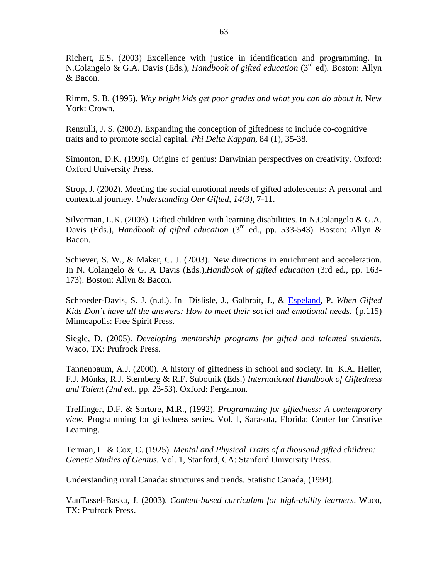Richert, E.S. (2003) Excellence with justice in identification and programming. In N.Colangelo & G.A. Davis (Eds.), *Handbook of gifted education* (3rd ed)*.* Boston: Allyn & Bacon.

Rimm, S. B. (1995). *Why bright kids get poor grades and what you can do about it*. New York: Crown.

Renzulli, J. S. (2002). Expanding the conception of giftedness to include co-cognitive traits and to promote social capital. *Phi Delta Kappan,* 84 (1), 35-38.

Simonton, D.K. (1999). Origins of genius: Darwinian perspectives on creativity. Oxford: Oxford University Press.

Strop, J. (2002). Meeting the social emotional needs of gifted adolescents: A personal and contextual journey. *Understanding Our Gifted, 14(3),* 7-11.

Silverman, L.K. (2003). Gifted children with learning disabilities. In N.Colangelo & G.A. Davis (Eds.), *Handbook of gifted education* (3<sup>rd</sup> ed., pp. 533-543). Boston: Allyn & Bacon.

Schiever, S. W., & Maker, C. J. (2003). New directions in enrichment and acceleration. In N. Colangelo & G. A Davis (Eds.),*Handbook of gifted education* (3rd ed., pp. 163- 173). Boston: Allyn & Bacon.

Schroeder-Davis, S. J. (n.d.). In Dislisle, J., Galbrait, J., & Espeland, P. *When Gifted Kids Don't have all the answers: How to meet their social and emotional needs.* (p.115) Minneapolis: Free Spirit Press.

Siegle, D. (2005). *Developing mentorship programs for gifted and talented students*. Waco, TX: Prufrock Press.

Tannenbaum, A.J. (2000). A history of giftedness in school and society. In K.A. Heller, F.J. Mönks, R.J. Sternberg & R.F. Subotnik (Eds.) *International Handbook of Giftedness and Talent (2nd ed.,* pp. 23-53). Oxford: Pergamon.

Treffinger, D.F. & Sortore, M.R., (1992). *Programming for giftedness: A contemporary view.* Programming for giftedness series. Vol. I, Sarasota, Florida: Center for Creative Learning.

Terman, L. & Cox, C. (1925). *Mental and Physical Traits of a thousand gifted children: Genetic Studies of Genius.* Vol. 1, Stanford, CA: Stanford University Press.

Understanding rural Canada**:** structures and trends. Statistic Canada, (1994).

VanTassel-Baska, J. (2003). *Content-based curriculum for high-ability learners*. Waco, TX: Prufrock Press.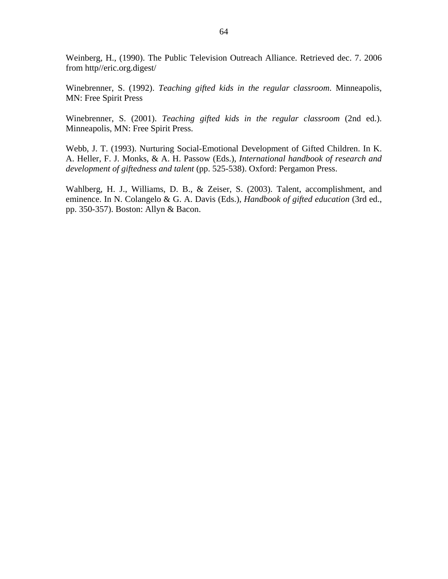Weinberg, H., (1990). The Public Television Outreach Alliance. Retrieved dec. 7. 2006 from http//eric.org.digest/

Winebrenner, S. (1992). *Teaching gifted kids in the regular classroom*. Minneapolis, MN: Free Spirit Press

Winebrenner, S. (2001). *Teaching gifted kids in the regular classroom* (2nd ed.). Minneapolis, MN: Free Spirit Press.

Webb, J. T. (1993). Nurturing Social-Emotional Development of Gifted Children. In K. A. Heller, F. J. Monks, & A. H. Passow (Eds.), *International handbook of research and development of giftedness and talent* (pp. 525-538). Oxford: Pergamon Press.

Wahlberg, H. J., Williams, D. B., & Zeiser, S. (2003). Talent, accomplishment, and eminence. In N. Colangelo & G. A. Davis (Eds.), *Handbook of gifted education* (3rd ed., pp. 350-357). Boston: Allyn & Bacon.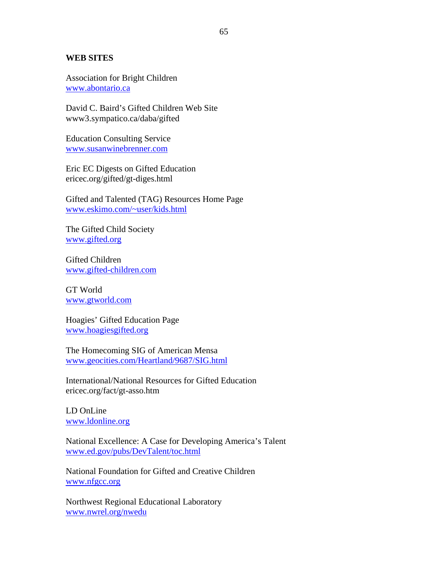#### **WEB SITES**

Association for Bright Children www.abontario.ca

David C. Baird's Gifted Children Web Site www3.sympatico.ca/daba/gifted

Education Consulting Service www.susanwinebrenner.com

Eric EC Digests on Gifted Education ericec.org/gifted/gt-diges.html

Gifted and Talented (TAG) Resources Home Page www.eskimo.com/~user/kids.html

The Gifted Child Society www.gifted.org

Gifted Children www.gifted-children.com

GT World www.gtworld.com

Hoagies' Gifted Education Page www.hoagiesgifted.org

The Homecoming SIG of American Mensa www.geocities.com/Heartland/9687/SIG.html

International/National Resources for Gifted Education ericec.org/fact/gt-asso.htm

LD OnLine www.ldonline.org

National Excellence: A Case for Developing America's Talent www.ed.gov/pubs/DevTalent/toc.html

National Foundation for Gifted and Creative Children www.nfgcc.org

Northwest Regional Educational Laboratory www.nwrel.org/nwedu